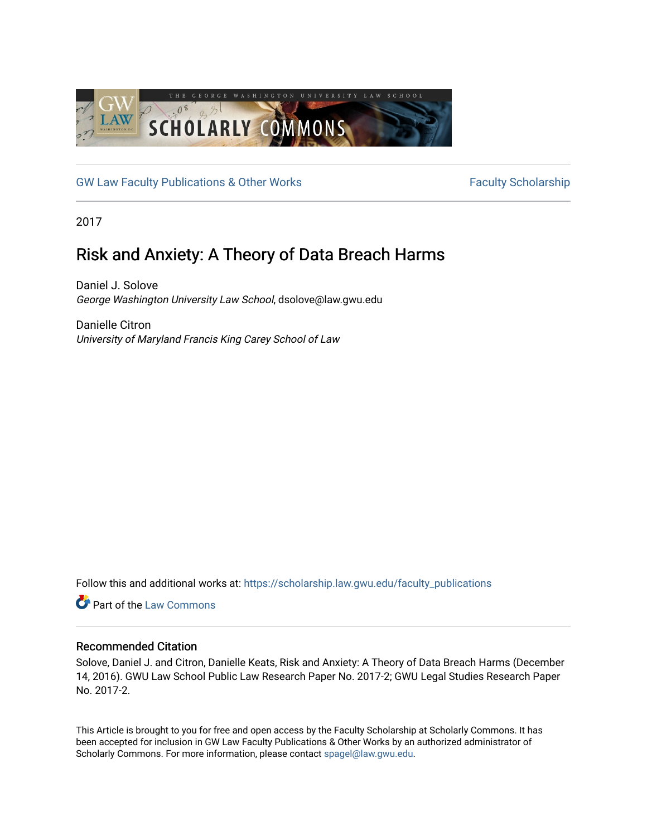

[GW Law Faculty Publications & Other Works](https://scholarship.law.gwu.edu/faculty_publications) Faculty Scholarship

2017

# Risk and Anxiety: A Theory of Data Breach Harms

Daniel J. Solove George Washington University Law School, dsolove@law.gwu.edu

Danielle Citron University of Maryland Francis King Carey School of Law

Follow this and additional works at: [https://scholarship.law.gwu.edu/faculty\\_publications](https://scholarship.law.gwu.edu/faculty_publications?utm_source=scholarship.law.gwu.edu%2Ffaculty_publications%2F1244&utm_medium=PDF&utm_campaign=PDFCoverPages) 

**C** Part of the [Law Commons](http://network.bepress.com/hgg/discipline/578?utm_source=scholarship.law.gwu.edu%2Ffaculty_publications%2F1244&utm_medium=PDF&utm_campaign=PDFCoverPages)

#### Recommended Citation

Solove, Daniel J. and Citron, Danielle Keats, Risk and Anxiety: A Theory of Data Breach Harms (December 14, 2016). GWU Law School Public Law Research Paper No. 2017-2; GWU Legal Studies Research Paper No. 2017-2.

This Article is brought to you for free and open access by the Faculty Scholarship at Scholarly Commons. It has been accepted for inclusion in GW Law Faculty Publications & Other Works by an authorized administrator of Scholarly Commons. For more information, please contact [spagel@law.gwu.edu](mailto:spagel@law.gwu.edu).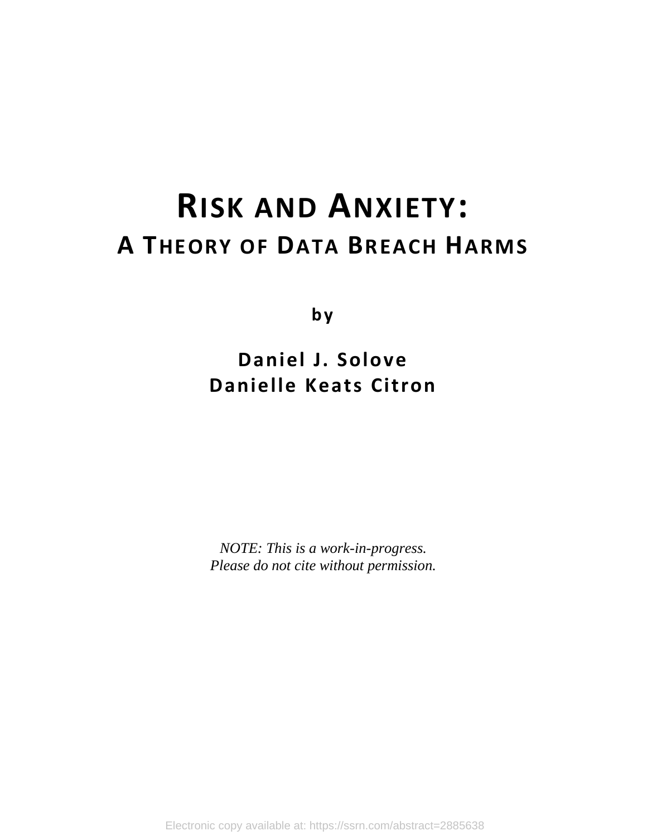# **RISK AND ANXIETY: A THEORY OF DATA BREACH HARMS**

**b y**

# **Daniel J. Solove Danielle Keats Citron**

*NOTE: This is a work-in-progress. Please do not cite without permission.* 

Electronic copy available at: https://ssrn.com/abstract=2885638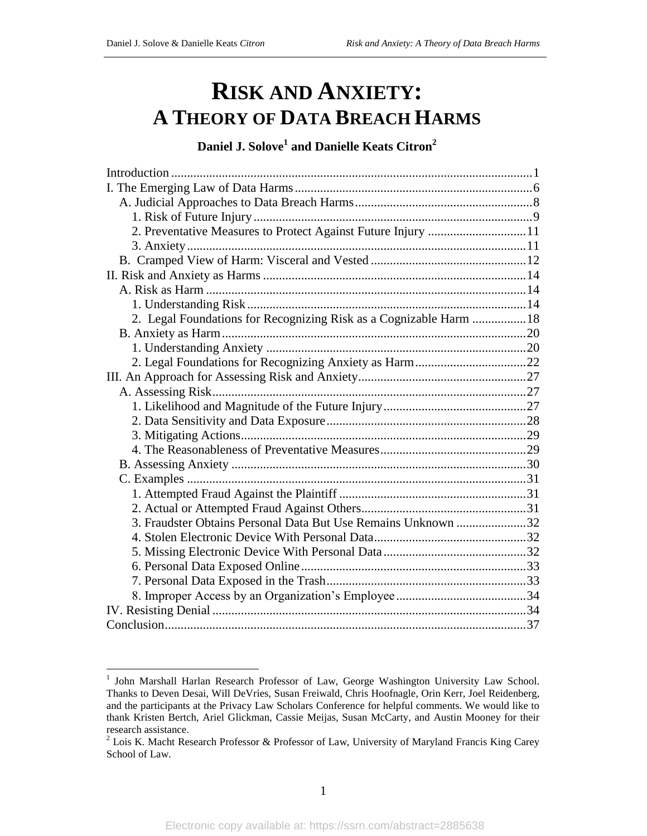$\overline{a}$ 

# **RISK AND ANXIETY: A THEORY OF DATA BREACH HARMS**

#### **Daniel J. Solove<sup>1</sup> and Danielle Keats Citron<sup>2</sup>**

| 2. Preventative Measures to Protect Against Future Injury 11       |  |
|--------------------------------------------------------------------|--|
|                                                                    |  |
|                                                                    |  |
|                                                                    |  |
|                                                                    |  |
|                                                                    |  |
| 2. Legal Foundations for Recognizing Risk as a Cognizable Harm  18 |  |
|                                                                    |  |
|                                                                    |  |
|                                                                    |  |
|                                                                    |  |
|                                                                    |  |
|                                                                    |  |
|                                                                    |  |
|                                                                    |  |
|                                                                    |  |
|                                                                    |  |
|                                                                    |  |
|                                                                    |  |
|                                                                    |  |
| 3. Fraudster Obtains Personal Data But Use Remains Unknown 32      |  |
|                                                                    |  |
|                                                                    |  |
|                                                                    |  |
|                                                                    |  |
|                                                                    |  |
|                                                                    |  |
|                                                                    |  |
|                                                                    |  |

<sup>&</sup>lt;sup>1</sup> John Marshall Harlan Research Professor of Law, George Washington University Law School. Thanks to Deven Desai, Will DeVries, Susan Freiwald, Chris Hoofnagle, Orin Kerr, Joel Reidenberg, and the participants at the Privacy Law Scholars Conference for helpful comments. We would like to thank Kristen Bertch, Ariel Glickman, Cassie Meijas, Susan McCarty, and Austin Mooney for their research assistance.

<sup>&</sup>lt;sup>2</sup> Lois K. Macht Research Professor & Professor of Law, University of Maryland Francis King Carey School of Law.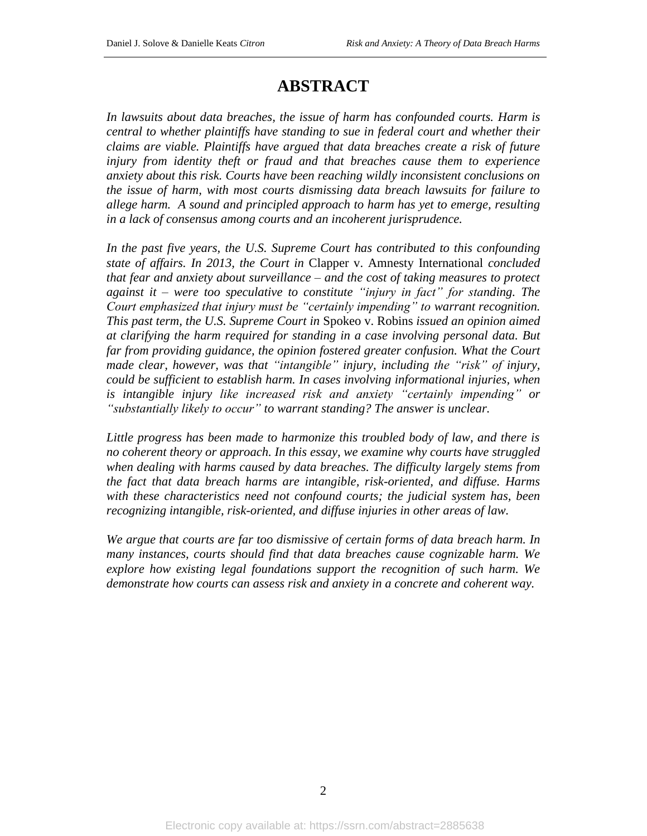# **ABSTRACT**

*In lawsuits about data breaches, the issue of harm has confounded courts. Harm is central to whether plaintiffs have standing to sue in federal court and whether their claims are viable. Plaintiffs have argued that data breaches create a risk of future injury from identity theft or fraud and that breaches cause them to experience anxiety about this risk. Courts have been reaching wildly inconsistent conclusions on the issue of harm, with most courts dismissing data breach lawsuits for failure to allege harm. A sound and principled approach to harm has yet to emerge, resulting in a lack of consensus among courts and an incoherent jurisprudence.*

*In the past five years, the U.S. Supreme Court has contributed to this confounding state of affairs. In 2013, the Court in* Clapper v. Amnesty International *concluded that fear and anxiety about surveillance – and the cost of taking measures to protect against it – were too speculative to constitute "injury in fact" for standing. The Court emphasized that injury must be "certainly impending" to warrant recognition. This past term, the U.S. Supreme Court in* Spokeo v. Robins *issued an opinion aimed at clarifying the harm required for standing in a case involving personal data. But far from providing guidance, the opinion fostered greater confusion. What the Court made clear, however, was that "intangible" injury, including the "risk" of injury, could be sufficient to establish harm. In cases involving informational injuries, when is intangible injury like increased risk and anxiety "certainly impending" or "substantially likely to occur" to warrant standing? The answer is unclear.* 

*Little progress has been made to harmonize this troubled body of law, and there is no coherent theory or approach. In this essay, we examine why courts have struggled when dealing with harms caused by data breaches. The difficulty largely stems from the fact that data breach harms are intangible, risk-oriented, and diffuse. Harms with these characteristics need not confound courts; the judicial system has, been recognizing intangible, risk-oriented, and diffuse injuries in other areas of law.* 

*We argue that courts are far too dismissive of certain forms of data breach harm. In many instances, courts should find that data breaches cause cognizable harm. We explore how existing legal foundations support the recognition of such harm. We demonstrate how courts can assess risk and anxiety in a concrete and coherent way.*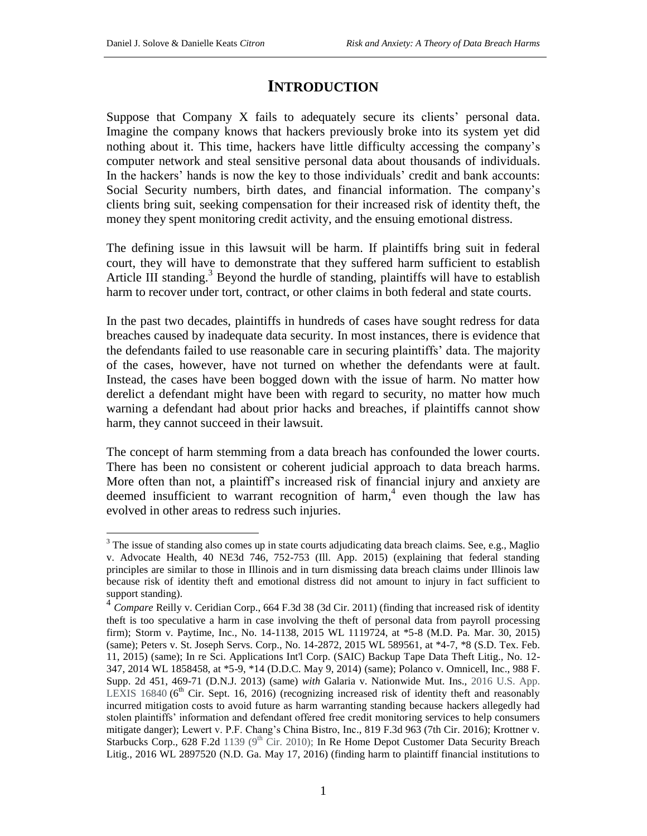$\overline{a}$ 

# **INTRODUCTION**

<span id="page-4-0"></span>Suppose that Company X fails to adequately secure its clients' personal data. Imagine the company knows that hackers previously broke into its system yet did nothing about it. This time, hackers have little difficulty accessing the company's computer network and steal sensitive personal data about thousands of individuals. In the hackers' hands is now the key to those individuals' credit and bank accounts: Social Security numbers, birth dates, and financial information. The company's clients bring suit, seeking compensation for their increased risk of identity theft, the money they spent monitoring credit activity, and the ensuing emotional distress.

The defining issue in this lawsuit will be harm. If plaintiffs bring suit in federal court, they will have to demonstrate that they suffered harm sufficient to establish Article III standing.<sup>3</sup> Beyond the hurdle of standing, plaintiffs will have to establish harm to recover under tort, contract, or other claims in both federal and state courts.

In the past two decades, plaintiffs in hundreds of cases have sought redress for data breaches caused by inadequate data security. In most instances, there is evidence that the defendants failed to use reasonable care in securing plaintiffs' data. The majority of the cases, however, have not turned on whether the defendants were at fault. Instead, the cases have been bogged down with the issue of harm. No matter how derelict a defendant might have been with regard to security, no matter how much warning a defendant had about prior hacks and breaches, if plaintiffs cannot show harm, they cannot succeed in their lawsuit.

The concept of harm stemming from a data breach has confounded the lower courts. There has been no consistent or coherent judicial approach to data breach harms. More often than not, a plaintiff's increased risk of financial injury and anxiety are deemed insufficient to warrant recognition of harm, 4 even though the law has evolved in other areas to redress such injuries.

<sup>&</sup>lt;sup>3</sup> The issue of standing also comes up in state courts adjudicating data breach claims. See, e.g., Maglio v. Advocate Health, 40 NE3d 746, 752-753 (Ill. App. 2015) (explaining that federal standing principles are similar to those in Illinois and in turn dismissing data breach claims under Illinois law because risk of identity theft and emotional distress did not amount to injury in fact sufficient to support standing).

<sup>&</sup>lt;sup>4</sup> Compare Reilly v. Ceridian Corp., 664 F.3d 38 (3d Cir. 2011) (finding that increased risk of identity theft is too speculative a harm in case involving the theft of personal data from payroll processing firm); Storm v. Paytime, Inc., No. 14-1138, 2015 WL 1119724, at \*5-8 (M.D. Pa. Mar. 30, 2015) (same); Peters v. St. Joseph Servs. Corp., No. 14-2872, 2015 WL 589561, at \*4-7, \*8 (S.D. Tex. Feb. 11, 2015) (same); In re Sci. Applications Int'l Corp. (SAIC) Backup Tape Data Theft Litig., No. 12- 347, 2014 WL 1858458, at \*5-9, \*14 (D.D.C. May 9, 2014) (same); Polanco v. Omnicell, Inc., 988 F. Supp. 2d 451, 469-71 (D.N.J. 2013) (same) *with* Galaria v. Nationwide Mut. Ins., 2016 U.S. App. LEXIS 16840 ( $6<sup>th</sup>$  Cir. Sept. 16, 2016) (recognizing increased risk of identity theft and reasonably incurred mitigation costs to avoid future as harm warranting standing because hackers allegedly had stolen plaintiffs' information and defendant offered free credit monitoring services to help consumers mitigate danger); Lewert v. P.F. Chang's China Bistro, Inc., 819 F.3d 963 (7th Cir. 2016); Krottner v. Starbucks Corp., 628 F.2d 1139 ( $9<sup>th</sup>$  Cir. 2010); In Re Home Depot Customer Data Security Breach Litig., 2016 WL 2897520 (N.D. Ga. May 17, 2016) (finding harm to plaintiff financial institutions to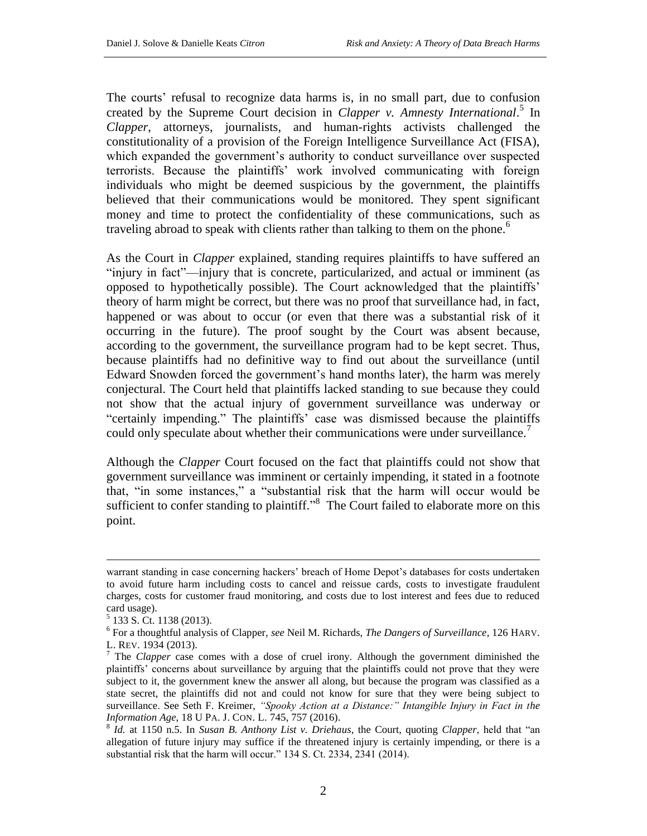The courts' refusal to recognize data harms is, in no small part, due to confusion created by the Supreme Court decision in *Clapper v. Amnesty International*. 5 In *Clapper*, attorneys, journalists, and human-rights activists challenged the constitutionality of a provision of the Foreign Intelligence Surveillance Act (FISA), which expanded the government's authority to conduct surveillance over suspected terrorists. Because the plaintiffs' work involved communicating with foreign individuals who might be deemed suspicious by the government, the plaintiffs believed that their communications would be monitored. They spent significant money and time to protect the confidentiality of these communications, such as traveling abroad to speak with clients rather than talking to them on the phone.<sup>6</sup>

As the Court in *Clapper* explained, standing requires plaintiffs to have suffered an "injury in fact"—injury that is concrete, particularized, and actual or imminent (as opposed to hypothetically possible). The Court acknowledged that the plaintiffs' theory of harm might be correct, but there was no proof that surveillance had, in fact, happened or was about to occur (or even that there was a substantial risk of it occurring in the future). The proof sought by the Court was absent because, according to the government, the surveillance program had to be kept secret. Thus, because plaintiffs had no definitive way to find out about the surveillance (until Edward Snowden forced the government's hand months later), the harm was merely conjectural. The Court held that plaintiffs lacked standing to sue because they could not show that the actual injury of government surveillance was underway or "certainly impending." The plaintiffs' case was dismissed because the plaintiffs could only speculate about whether their communications were under surveillance.<sup>7</sup>

Although the *Clapper* Court focused on the fact that plaintiffs could not show that government surveillance was imminent or certainly impending, it stated in a footnote that, "in some instances," a "substantial risk that the harm will occur would be sufficient to confer standing to plaintiff."<sup>8</sup> The Court failed to elaborate more on this point.

1

warrant standing in case concerning hackers' breach of Home Depot's databases for costs undertaken to avoid future harm including costs to cancel and reissue cards, costs to investigate fraudulent charges, costs for customer fraud monitoring, and costs due to lost interest and fees due to reduced card usage).

<sup>5</sup> 133 S. Ct. 1138 (2013).

<sup>6</sup> For a thoughtful analysis of Clapper, *see* Neil M. Richards, *The Dangers of Surveillance*, 126 HARV. L. REV. 1934 (2013).

<sup>7</sup> The *Clapper* case comes with a dose of cruel irony. Although the government diminished the plaintiffs' concerns about surveillance by arguing that the plaintiffs could not prove that they were subject to it, the government knew the answer all along, but because the program was classified as a state secret, the plaintiffs did not and could not know for sure that they were being subject to surveillance. See Seth F. Kreimer, *"Spooky Action at a Distance:" Intangible Injury in Fact in the Information Age*, 18 U PA. J. CON. L. 745, 757 (2016).

<sup>8</sup> *Id.* at 1150 n.5. In *Susan B. Anthony List v. Driehaus*, the Court, quoting *Clapper*, held that "an allegation of future injury may suffice if the threatened injury is certainly impending, or there is a substantial risk that the harm will occur." 134 S. Ct. 2334, 2341 (2014).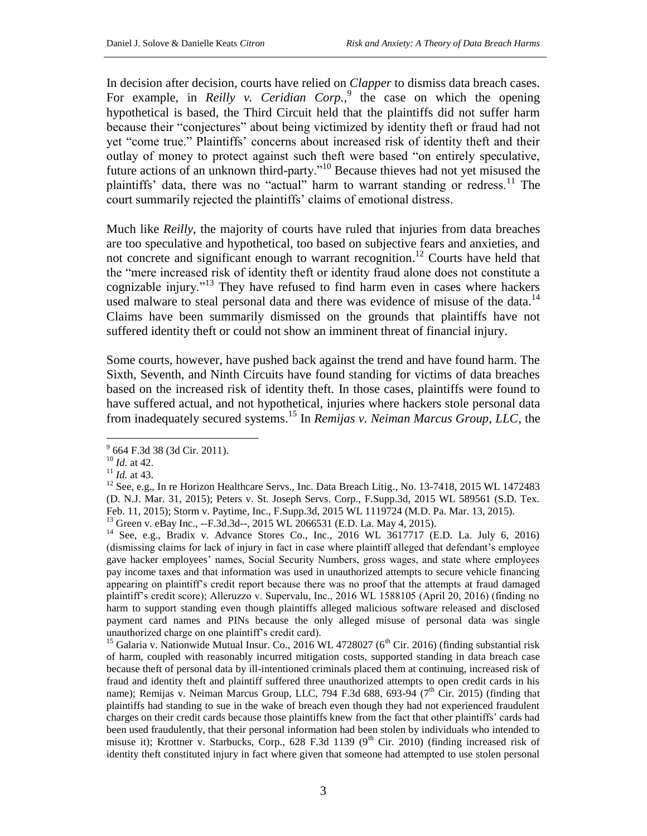In decision after decision, courts have relied on *Clapper* to dismiss data breach cases. For example, in *Reilly v. Ceridian Corp.*,<sup>9</sup> the case on which the opening hypothetical is based, the Third Circuit held that the plaintiffs did not suffer harm because their "conjectures" about being victimized by identity theft or fraud had not yet "come true." Plaintiffs' concerns about increased risk of identity theft and their outlay of money to protect against such theft were based "on entirely speculative, future actions of an unknown third-party."<sup>10</sup> Because thieves had not yet misused the plaintiffs' data, there was no "actual" harm to warrant standing or redress.<sup>11</sup> The court summarily rejected the plaintiffs' claims of emotional distress.

Much like *Reilly*, the majority of courts have ruled that injuries from data breaches are too speculative and hypothetical, too based on subjective fears and anxieties, and not concrete and significant enough to warrant recognition.<sup>12</sup> Courts have held that the "mere increased risk of identity theft or identity fraud alone does not constitute a cognizable injury."<sup>13</sup> They have refused to find harm even in cases where hackers used malware to steal personal data and there was evidence of misuse of the data.<sup>14</sup> Claims have been summarily dismissed on the grounds that plaintiffs have not suffered identity theft or could not show an imminent threat of financial injury.

Some courts, however, have pushed back against the trend and have found harm. The Sixth, Seventh, and Ninth Circuits have found standing for victims of data breaches based on the increased risk of identity theft. In those cases, plaintiffs were found to have suffered actual, and not hypothetical, injuries where hackers stole personal data from inadequately secured systems. <sup>15</sup> In *Remijas v. Neiman Marcus Group, LLC*, the

 9 664 F.3d 38 (3d Cir. 2011).

<sup>10</sup> *Id.* at 42.

<sup>11</sup> *Id.* at 43.

 $12$  See, e.g., In re Horizon Healthcare Servs., Inc. Data Breach Litig., No. 13-7418, 2015 WL 1472483 (D. N.J. Mar. 31, 2015); Peters v. St. Joseph Servs. Corp., F.Supp.3d, 2015 WL 589561 (S.D. Tex. Feb. 11, 2015); Storm v. Paytime, Inc., F.Supp.3d, 2015 WL 1119724 (M.D. Pa. Mar. 13, 2015).

<sup>&</sup>lt;sup>13</sup> Green v. eBay Inc., --F.3d.3d--, 2015 WL 2066531 (E.D. La. May 4, 2015).

<sup>14</sup> See, e.g., Bradix v. Advance Stores Co., Inc., 2016 WL 3617717 (E.D. La. July 6, 2016) (dismissing claims for lack of injury in fact in case where plaintiff alleged that defendant's employee gave hacker employees' names, Social Security Numbers, gross wages, and state where employees pay income taxes and that information was used in unauthorized attempts to secure vehicle financing appearing on plaintiff's credit report because there was no proof that the attempts at fraud damaged plaintiff's credit score); Alleruzzo v. Supervalu, Inc., 2016 WL 1588105 (April 20, 2016) (finding no harm to support standing even though plaintiffs alleged malicious software released and disclosed payment card names and PINs because the only alleged misuse of personal data was single unauthorized charge on one plaintiff's credit card).

<sup>&</sup>lt;sup>15</sup> Galaria v. Nationwide Mutual Insur. Co., 2016 WL 4728027 ( $6<sup>th</sup>$  Cir. 2016) (finding substantial risk of harm, coupled with reasonably incurred mitigation costs, supported standing in data breach case because theft of personal data by ill-intentioned criminals placed them at continuing, increased risk of fraud and identity theft and plaintiff suffered three unauthorized attempts to open credit cards in his name); Remijas v. Neiman Marcus Group, LLC, 794 F.3d 688, 693-94 ( $7<sup>th</sup>$  Cir. 2015) (finding that plaintiffs had standing to sue in the wake of breach even though they had not experienced fraudulent charges on their credit cards because those plaintiffs knew from the fact that other plaintiffs' cards had been used fraudulently, that their personal information had been stolen by individuals who intended to misuse it); Krottner v. Starbucks, Corp., 628 F.3d 1139 (9<sup>th</sup> Cir. 2010) (finding increased risk of identity theft constituted injury in fact where given that someone had attempted to use stolen personal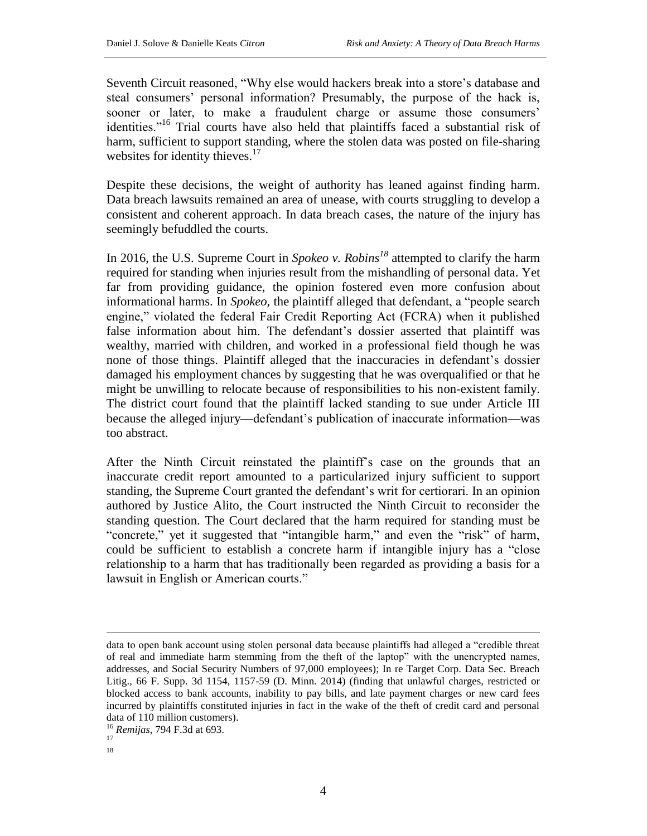Seventh Circuit reasoned, "Why else would hackers break into a store's database and steal consumers' personal information? Presumably, the purpose of the hack is, sooner or later, to make a fraudulent charge or assume those consumers' identities."<sup>16</sup> Trial courts have also held that plaintiffs faced a substantial risk of harm, sufficient to support standing, where the stolen data was posted on file-sharing websites for identity thieves.<sup>17</sup>

Despite these decisions, the weight of authority has leaned against finding harm. Data breach lawsuits remained an area of unease, with courts struggling to develop a consistent and coherent approach. In data breach cases, the nature of the injury has seemingly befuddled the courts.

In 2016, the U.S. Supreme Court in *Spokeo v. Robins<sup>18</sup>* attempted to clarify the harm required for standing when injuries result from the mishandling of personal data. Yet far from providing guidance, the opinion fostered even more confusion about informational harms. In *Spokeo*, the plaintiff alleged that defendant, a "people search engine," violated the federal Fair Credit Reporting Act (FCRA) when it published false information about him. The defendant's dossier asserted that plaintiff was wealthy, married with children, and worked in a professional field though he was none of those things. Plaintiff alleged that the inaccuracies in defendant's dossier damaged his employment chances by suggesting that he was overqualified or that he might be unwilling to relocate because of responsibilities to his non-existent family. The district court found that the plaintiff lacked standing to sue under Article III because the alleged injury—defendant's publication of inaccurate information—was too abstract.

After the Ninth Circuit reinstated the plaintiff's case on the grounds that an inaccurate credit report amounted to a particularized injury sufficient to support standing, the Supreme Court granted the defendant's writ for certiorari. In an opinion authored by Justice Alito, the Court instructed the Ninth Circuit to reconsider the standing question. The Court declared that the harm required for standing must be "concrete," yet it suggested that "intangible harm," and even the "risk" of harm, could be sufficient to establish a concrete harm if intangible injury has a "close relationship to a harm that has traditionally been regarded as providing a basis for a lawsuit in English or American courts."

1

data to open bank account using stolen personal data because plaintiffs had alleged a "credible threat of real and immediate harm stemming from the theft of the laptop" with the unencrypted names, addresses, and Social Security Numbers of 97,000 employees); In re Target Corp. Data Sec. Breach Litig., 66 F. Supp. 3d 1154, 1157-59 (D. Minn. 2014) (finding that unlawful charges, restricted or blocked access to bank accounts, inability to pay bills, and late payment charges or new card fees incurred by plaintiffs constituted injuries in fact in the wake of the theft of credit card and personal data of 110 million customers).

<sup>16</sup> *Remijas*, 794 F.3d at 693. 17

<sup>18</sup>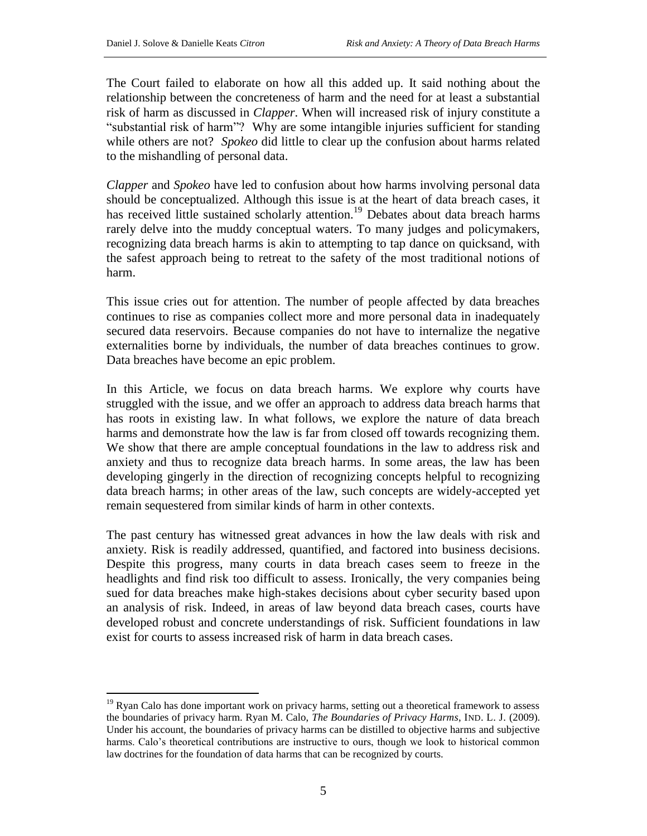$\overline{a}$ 

The Court failed to elaborate on how all this added up. It said nothing about the relationship between the concreteness of harm and the need for at least a substantial risk of harm as discussed in *Clapper*. When will increased risk of injury constitute a "substantial risk of harm"? Why are some intangible injuries sufficient for standing while others are not? *Spokeo* did little to clear up the confusion about harms related to the mishandling of personal data.

*Clapper* and *Spokeo* have led to confusion about how harms involving personal data should be conceptualized. Although this issue is at the heart of data breach cases, it has received little sustained scholarly attention.<sup>19</sup> Debates about data breach harms rarely delve into the muddy conceptual waters. To many judges and policymakers, recognizing data breach harms is akin to attempting to tap dance on quicksand, with the safest approach being to retreat to the safety of the most traditional notions of harm.

This issue cries out for attention. The number of people affected by data breaches continues to rise as companies collect more and more personal data in inadequately secured data reservoirs. Because companies do not have to internalize the negative externalities borne by individuals, the number of data breaches continues to grow. Data breaches have become an epic problem.

In this Article, we focus on data breach harms. We explore why courts have struggled with the issue, and we offer an approach to address data breach harms that has roots in existing law. In what follows, we explore the nature of data breach harms and demonstrate how the law is far from closed off towards recognizing them. We show that there are ample conceptual foundations in the law to address risk and anxiety and thus to recognize data breach harms. In some areas, the law has been developing gingerly in the direction of recognizing concepts helpful to recognizing data breach harms; in other areas of the law, such concepts are widely-accepted yet remain sequestered from similar kinds of harm in other contexts.

The past century has witnessed great advances in how the law deals with risk and anxiety. Risk is readily addressed, quantified, and factored into business decisions. Despite this progress, many courts in data breach cases seem to freeze in the headlights and find risk too difficult to assess. Ironically, the very companies being sued for data breaches make high-stakes decisions about cyber security based upon an analysis of risk. Indeed, in areas of law beyond data breach cases, courts have developed robust and concrete understandings of risk. Sufficient foundations in law exist for courts to assess increased risk of harm in data breach cases.

<sup>&</sup>lt;sup>19</sup> Ryan Calo has done important work on privacy harms, setting out a theoretical framework to assess the boundaries of privacy harm. Ryan M. Calo, *The Boundaries of Privacy Harms*, IND. L. J. (2009). Under his account, the boundaries of privacy harms can be distilled to objective harms and subjective harms. Calo's theoretical contributions are instructive to ours, though we look to historical common law doctrines for the foundation of data harms that can be recognized by courts.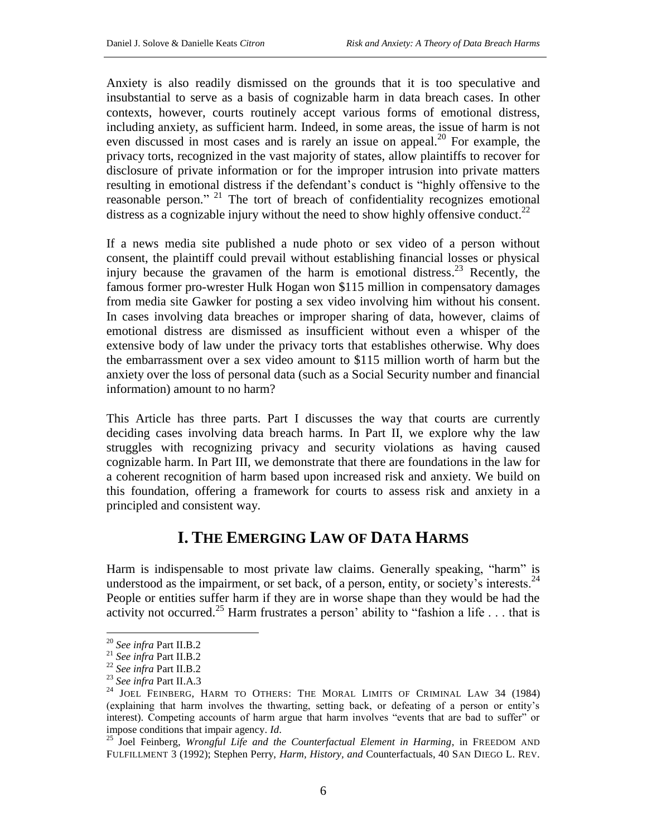Anxiety is also readily dismissed on the grounds that it is too speculative and insubstantial to serve as a basis of cognizable harm in data breach cases. In other contexts, however, courts routinely accept various forms of emotional distress, including anxiety, as sufficient harm. Indeed, in some areas, the issue of harm is not even discussed in most cases and is rarely an issue on appeal.<sup>20</sup> For example, the privacy torts, recognized in the vast majority of states, allow plaintiffs to recover for disclosure of private information or for the improper intrusion into private matters resulting in emotional distress if the defendant's conduct is "highly offensive to the reasonable person."<sup>21</sup> The tort of breach of confidentiality recognizes emotional distress as a cognizable injury without the need to show highly offensive conduct.<sup>22</sup>

If a news media site published a nude photo or sex video of a person without consent, the plaintiff could prevail without establishing financial losses or physical injury because the gravamen of the harm is emotional distress. <sup>23</sup> Recently, the famous former pro-wrester Hulk Hogan won \$115 million in compensatory damages from media site Gawker for posting a sex video involving him without his consent. In cases involving data breaches or improper sharing of data, however, claims of emotional distress are dismissed as insufficient without even a whisper of the extensive body of law under the privacy torts that establishes otherwise. Why does the embarrassment over a sex video amount to \$115 million worth of harm but the anxiety over the loss of personal data (such as a Social Security number and financial information) amount to no harm?

This Article has three parts. Part I discusses the way that courts are currently deciding cases involving data breach harms. In Part II, we explore why the law struggles with recognizing privacy and security violations as having caused cognizable harm. In Part III, we demonstrate that there are foundations in the law for a coherent recognition of harm based upon increased risk and anxiety. We build on this foundation, offering a framework for courts to assess risk and anxiety in a principled and consistent way.

# **I. THE EMERGING LAW OF DATA HARMS**

<span id="page-9-0"></span>Harm is indispensable to most private law claims. Generally speaking, "harm" is understood as the impairment, or set back, of a person, entity, or society's interests.<sup>24</sup> People or entities suffer harm if they are in worse shape than they would be had the activity not occurred.<sup>25</sup> Harm frustrates a person' ability to "fashion a life . . . that is

<sup>20</sup> *See infra* Part II.B.2

<sup>21</sup> *See infra* Part II.B.2

<sup>22</sup> *See infra* Part II.B.2

<sup>23</sup> *See infra* Part II.A.3

<sup>&</sup>lt;sup>24</sup> JOEL FEINBERG, HARM TO OTHERS: THE MORAL LIMITS OF CRIMINAL LAW 34 (1984) (explaining that harm involves the thwarting, setting back, or defeating of a person or entity's interest). Competing accounts of harm argue that harm involves "events that are bad to suffer" or impose conditions that impair agency. *Id*.

<sup>&</sup>lt;sup>25</sup> Joel Feinberg, *Wrongful Life and the Counterfactual Element in Harming*, in FREEDOM AND FULFILLMENT 3 (1992); Stephen Perry, *Harm, History, and* Counterfactuals, 40 SAN DIEGO L. REV.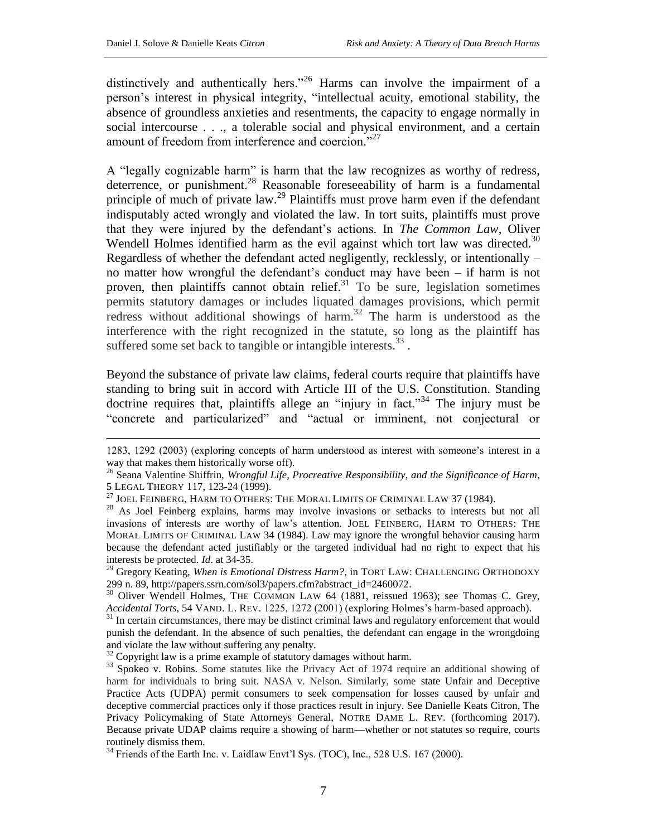1

distinctively and authentically hers."<sup>26</sup> Harms can involve the impairment of a person's interest in physical integrity, "intellectual acuity, emotional stability, the absence of groundless anxieties and resentments, the capacity to engage normally in social intercourse . . ., a tolerable social and physical environment, and a certain amount of freedom from interference and coercion."<sup>27</sup>

A "legally cognizable harm" is harm that the law recognizes as worthy of redress, deterrence, or punishment.<sup>28</sup> Reasonable foreseeability of harm is a fundamental principle of much of private law.<sup>29</sup> Plaintiffs must prove harm even if the defendant indisputably acted wrongly and violated the law. In tort suits, plaintiffs must prove that they were injured by the defendant's actions. In *The Common Law*, Oliver Wendell Holmes identified harm as the evil against which tort law was directed.<sup>30</sup> Regardless of whether the defendant acted negligently, recklessly, or intentionally – no matter how wrongful the defendant's conduct may have been – if harm is not proven, then plaintiffs cannot obtain relief. $31$  To be sure, legislation sometimes permits statutory damages or includes liquated damages provisions, which permit redress without additional showings of harm.<sup>32</sup> The harm is understood as the interference with the right recognized in the statute, so long as the plaintiff has suffered some set back to tangible or intangible interests.<sup>33</sup>.

Beyond the substance of private law claims, federal courts require that plaintiffs have standing to bring suit in accord with Article III of the U.S. Constitution. Standing doctrine requires that, plaintiffs allege an "injury in fact."<sup>34</sup> The injury must be "concrete and particularized" and "actual or imminent, not conjectural or

<sup>29</sup> Gregory Keating, *When is Emotional Distress Harm?*, in TORT LAW: CHALLENGING ORTHODOXY 299 n. 89, [http://papers.ssrn.com/sol3/papers.cfm?abstract\\_id=2460072.](http://papers.ssrn.com/sol3/papers.cfm?abstract_id=2460072)

 $32$  Copyright law is a prime example of statutory damages without harm.

<sup>1283, 1292 (2003) (</sup>exploring concepts of harm understood as interest with someone's interest in a way that makes them historically worse off).

<sup>26</sup> Seana Valentine Shiffrin, *Wrongful Life, Procreative Responsibility, and the Significance of Harm*, 5 LEGAL THEORY 117, 123-24 (1999).

 $^{27}$  JOEL FEINBERG, HARM TO OTHERS: THE MORAL LIMITS OF CRIMINAL LAW 37 (1984).

<sup>&</sup>lt;sup>28</sup> As Joel Feinberg explains, harms may involve invasions or setbacks to interests but not all invasions of interests are worthy of law's attention. JOEL FEINBERG, HARM TO OTHERS: THE MORAL LIMITS OF CRIMINAL LAW 34 (1984). Law may ignore the wrongful behavior causing harm because the defendant acted justifiably or the targeted individual had no right to expect that his interests be protected. *Id*. at 34-35.

<sup>&</sup>lt;sup>30</sup> Oliver Wendell Holmes, THE COMMON LAW 64 (1881, reissued 1963); see Thomas C. Grey, *Accidental Torts*, 54 VAND. L. REV. 1225, 1272 (2001) (exploring Holmes's harm-based approach).

<sup>&</sup>lt;sup>31</sup> In certain circumstances, there may be distinct criminal laws and regulatory enforcement that would punish the defendant. In the absence of such penalties, the defendant can engage in the wrongdoing and violate the law without suffering any penalty.

<sup>&</sup>lt;sup>33</sup> Spokeo v. Robins. Some statutes like the Privacy Act of 1974 require an additional showing of harm for individuals to bring suit. NASA v. Nelson. Similarly, some state Unfair and Deceptive Practice Acts (UDPA) permit consumers to seek compensation for losses caused by unfair and deceptive commercial practices only if those practices result in injury. See Danielle Keats Citron, The Privacy Policymaking of State Attorneys General, NOTRE DAME L. REV. (forthcoming 2017). Because private UDAP claims require a showing of harm—whether or not statutes so require, courts routinely dismiss them.

 $34$  Friends of the Earth Inc. v. Laidlaw Envt'l Sys. (TOC), Inc., 528 U.S. 167 (2000).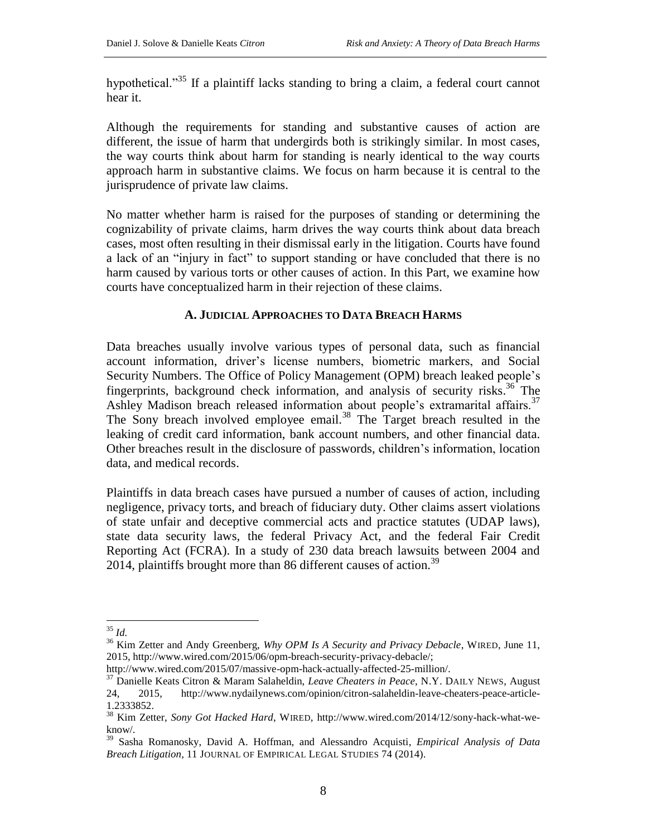hypothetical.<sup>35</sup> If a plaintiff lacks standing to bring a claim, a federal court cannot hear it.

Although the requirements for standing and substantive causes of action are different, the issue of harm that undergirds both is strikingly similar. In most cases, the way courts think about harm for standing is nearly identical to the way courts approach harm in substantive claims. We focus on harm because it is central to the jurisprudence of private law claims.

No matter whether harm is raised for the purposes of standing or determining the cognizability of private claims, harm drives the way courts think about data breach cases, most often resulting in their dismissal early in the litigation. Courts have found a lack of an "injury in fact" to support standing or have concluded that there is no harm caused by various torts or other causes of action. In this Part, we examine how courts have conceptualized harm in their rejection of these claims.

#### **A. JUDICIAL APPROACHES TO DATA BREACH HARMS**

<span id="page-11-0"></span>Data breaches usually involve various types of personal data, such as financial account information, driver's license numbers, biometric markers, and Social Security Numbers. The Office of Policy Management (OPM) breach leaked people's fingerprints, background check information, and analysis of security risks. <sup>36</sup> The Ashley Madison breach released information about people's extramarital affairs.<sup>37</sup> The Sony breach involved employee email.<sup>38</sup> The Target breach resulted in the leaking of credit card information, bank account numbers, and other financial data. Other breaches result in the disclosure of passwords, children's information, location data, and medical records.

Plaintiffs in data breach cases have pursued a number of causes of action, including negligence, privacy torts, and breach of fiduciary duty. Other claims assert violations of state unfair and deceptive commercial acts and practice statutes (UDAP laws), state data security laws, the federal Privacy Act, and the federal Fair Credit Reporting Act (FCRA). In a study of 230 data breach lawsuits between 2004 and 2014, plaintiffs brought more than 86 different causes of action.<sup>39</sup>

 $\overline{a}$ <sup>35</sup> *Id.*

<sup>36</sup> Kim Zetter and Andy Greenberg, *Why OPM Is A Security and Privacy Debacle*, WIRED, June 11, 2015, http://www.wired.com/2015/06/opm-breach-security-privacy-debacle/;

http://www.wired.com/2015/07/massive-opm-hack-actually-affected-25-million/.

<sup>37</sup> Danielle Keats Citron & Maram Salaheldin, *Leave Cheaters in Peace*, N.Y. DAILY NEWS, August 24, 2015, http://www.nydailynews.com/opinion/citron-salaheldin-leave-cheaters-peace-article-1.2333852.

<sup>38</sup> Kim Zetter, *Sony Got Hacked Hard*, WIRED, http://www.wired.com/2014/12/sony-hack-what-weknow/.

<sup>39</sup> Sasha Romanosky, David A. Hoffman, and Alessandro Acquisti, *Empirical Analysis of Data Breach Litigation,* 11 JOURNAL OF EMPIRICAL LEGAL STUDIES 74 (2014).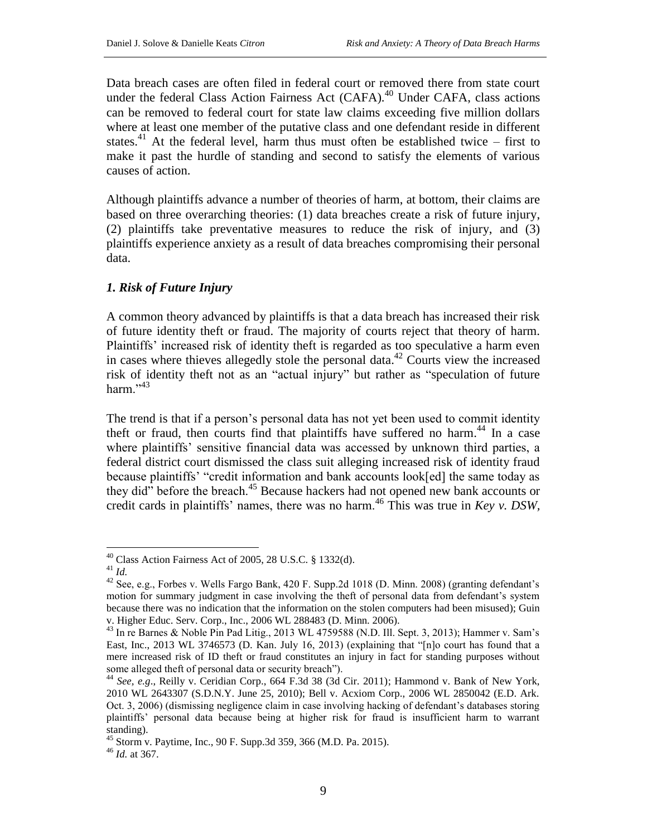Data breach cases are often filed in federal court or removed there from state court under the federal Class Action Fairness Act (CAFA).<sup>40</sup> Under CAFA, class actions can be removed to federal court for state law claims exceeding five million dollars where at least one member of the putative class and one defendant reside in different states.<sup>41</sup> At the federal level, harm thus must often be established twice – first to make it past the hurdle of standing and second to satisfy the elements of various causes of action.

Although plaintiffs advance a number of theories of harm, at bottom, their claims are based on three overarching theories: (1) data breaches create a risk of future injury, (2) plaintiffs take preventative measures to reduce the risk of injury, and (3) plaintiffs experience anxiety as a result of data breaches compromising their personal data.

#### <span id="page-12-0"></span>*1. Risk of Future Injury*

A common theory advanced by plaintiffs is that a data breach has increased their risk of future identity theft or fraud. The majority of courts reject that theory of harm. Plaintiffs' increased risk of identity theft is regarded as too speculative a harm even in cases where thieves allegedly stole the personal data. $42$  Courts view the increased risk of identity theft not as an "actual injury" but rather as "speculation of future harm $^{3,43}$ 

The trend is that if a person's personal data has not yet been used to commit identity theft or fraud, then courts find that plaintiffs have suffered no harm. <sup>44</sup> In a case where plaintiffs' sensitive financial data was accessed by unknown third parties, a federal district court dismissed the class suit alleging increased risk of identity fraud because plaintiffs' "credit information and bank accounts look[ed] the same today as they did" before the breach.<sup>45</sup> Because hackers had not opened new bank accounts or credit cards in plaintiffs' names, there was no harm.<sup>46</sup> This was true in *Key v. DSW,* 

<sup>40</sup> Class Action Fairness Act of 2005, 28 U.S.C. § 1332(d).

<sup>41</sup> *Id.*

<sup>42</sup> See, e.g., Forbes v. Wells Fargo Bank, 420 F. Supp.2d 1018 (D. Minn. 2008) (granting defendant's motion for summary judgment in case involving the theft of personal data from defendant's system because there was no indication that the information on the stolen computers had been misused); Guin v. Higher Educ. Serv. Corp., Inc., 2006 WL 288483 (D. Minn. 2006).

<sup>43</sup> In re Barnes & Noble Pin Pad Litig., 2013 WL 4759588 (N.D. Ill. Sept. 3, 2013); Hammer v. Sam's East, Inc., 2013 WL 3746573 (D. Kan. July 16, 2013) (explaining that "[n]o court has found that a mere increased risk of ID theft or fraud constitutes an injury in fact for standing purposes without some alleged theft of personal data or security breach").

<sup>44</sup> *See, e.g*., Reilly v. Ceridian Corp., 664 F.3d 38 (3d Cir. 2011); Hammond v. Bank of New York, 2010 WL 2643307 (S.D.N.Y. June 25, 2010); Bell v. Acxiom Corp., 2006 WL 2850042 (E.D. Ark. Oct. 3, 2006) (dismissing negligence claim in case involving hacking of defendant's databases storing plaintiffs' personal data because being at higher risk for fraud is insufficient harm to warrant standing).

<sup>45</sup> Storm v. Paytime, Inc., 90 F. Supp.3d 359, 366 (M.D. Pa. 2015).

<sup>46</sup> *Id.* at 367.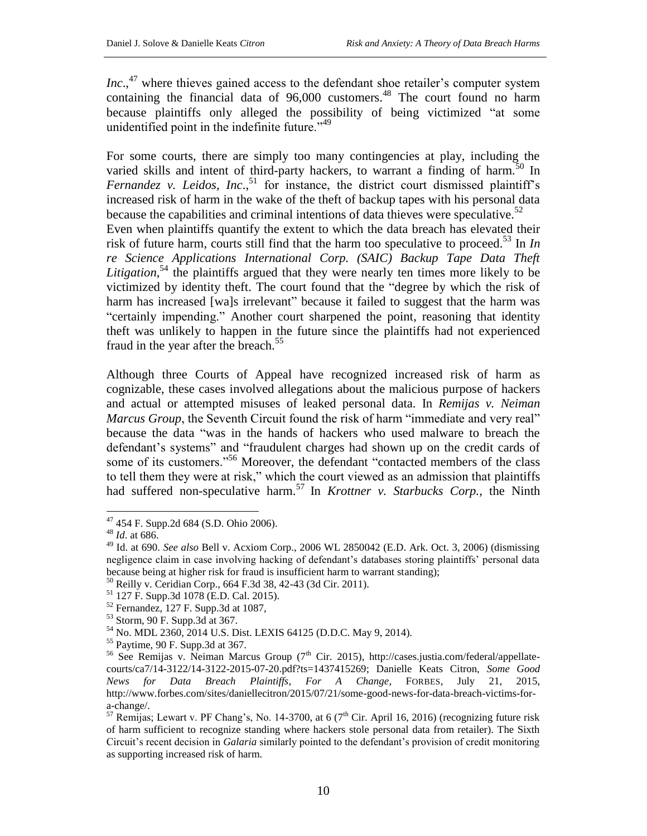*Inc.*,<sup>47</sup> where thieves gained access to the defendant shoe retailer's computer system containing the financial data of  $96,000$  customers.<sup>48</sup> The court found no harm because plaintiffs only alleged the possibility of being victimized "at some unidentified point in the indefinite future."<sup>49</sup>

For some courts, there are simply too many contingencies at play, including the varied skills and intent of third-party hackers, to warrant a finding of harm.<sup>50</sup> In Fernandez v. Leidos, Inc.,<sup>51</sup> for instance, the district court dismissed plaintiff's increased risk of harm in the wake of the theft of backup tapes with his personal data because the capabilities and criminal intentions of data thieves were speculative.<sup>52</sup> Even when plaintiffs quantify the extent to which the data breach has elevated their risk of future harm, courts still find that the harm too speculative to proceed. <sup>53</sup> In *In re Science Applications International Corp. (SAIC) Backup Tape Data Theft*  Litigation,<sup>54</sup> the plaintiffs argued that they were nearly ten times more likely to be victimized by identity theft. The court found that the "degree by which the risk of harm has increased [wa]s irrelevant" because it failed to suggest that the harm was "certainly impending." Another court sharpened the point, reasoning that identity theft was unlikely to happen in the future since the plaintiffs had not experienced fraud in the year after the breach.<sup>55</sup>

Although three Courts of Appeal have recognized increased risk of harm as cognizable, these cases involved allegations about the malicious purpose of hackers and actual or attempted misuses of leaked personal data. In *Remijas v. Neiman Marcus Group*, the Seventh Circuit found the risk of harm "immediate and very real" because the data "was in the hands of hackers who used malware to breach the defendant's systems" and "fraudulent charges had shown up on the credit cards of some of its customers."<sup>56</sup> Moreover, the defendant "contacted members of the class" to tell them they were at risk," which the court viewed as an admission that plaintiffs had suffered non-speculative harm. <sup>57</sup> In *Krottner v. Starbucks Corp.,* the Ninth

 $47$  454 F. Supp.2d 684 (S.D. Ohio 2006).

<sup>48</sup> *Id*. at 686.

<sup>49</sup> Id. at 690. *See also* Bell v. Acxiom Corp., 2006 WL 2850042 (E.D. Ark. Oct. 3, 2006) (dismissing negligence claim in case involving hacking of defendant's databases storing plaintiffs' personal data because being at higher risk for fraud is insufficient harm to warrant standing);

<sup>50</sup> Reilly v. Ceridian Corp., 664 F.3d 38, 42-43 (3d Cir. 2011).

<sup>51</sup> 127 F. Supp.3d 1078 (E.D. Cal. 2015).

 $52$  Fernandez, 127 F. Supp.3d at 1087,

<sup>53</sup> Storm, 90 F. Supp.3d at 367.

<sup>54</sup> No. MDL 2360, 2014 U.S. Dist. LEXIS 64125 (D.D.C. May 9, 2014).

<sup>55</sup> Paytime, 90 F. Supp.3d at 367.

 $56$  See Remijas v. Neiman Marcus Group ( $7<sup>th</sup>$  Cir. 2015), http://cases.justia.com/federal/appellatecourts/ca7/14-3122/14-3122-2015-07-20.pdf?ts=1437415269; Danielle Keats Citron, *Some Good News for Data Breach Plaintiffs*, *For A Change*, FORBES, July 21, 2015, http://www.forbes.com/sites/daniellecitron/2015/07/21/some-good-news-for-data-breach-victims-fora-change/.

<sup>&</sup>lt;sup>57</sup> Remijas; Lewart v. PF Chang's, No. 14-3700, at 6 ( $7<sup>th</sup>$  Cir. April 16, 2016) (recognizing future risk of harm sufficient to recognize standing where hackers stole personal data from retailer). The Sixth Circuit's recent decision in *Galaria* similarly pointed to the defendant's provision of credit monitoring as supporting increased risk of harm.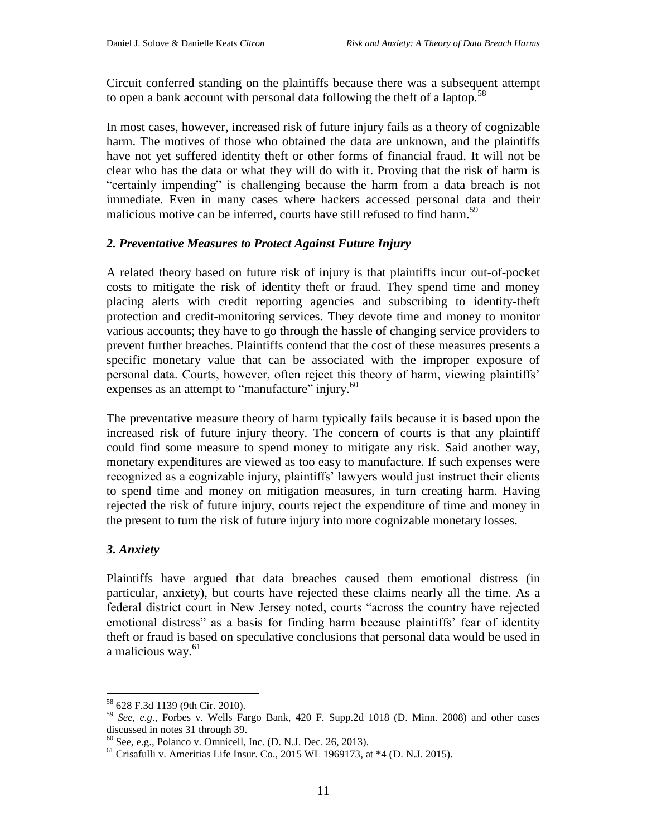Circuit conferred standing on the plaintiffs because there was a subsequent attempt to open a bank account with personal data following the theft of a laptop.<sup>58</sup>

In most cases, however, increased risk of future injury fails as a theory of cognizable harm. The motives of those who obtained the data are unknown, and the plaintiffs have not yet suffered identity theft or other forms of financial fraud. It will not be clear who has the data or what they will do with it. Proving that the risk of harm is "certainly impending" is challenging because the harm from a data breach is not immediate. Even in many cases where hackers accessed personal data and their malicious motive can be inferred, courts have still refused to find harm.<sup>59</sup>

#### <span id="page-14-0"></span>*2. Preventative Measures to Protect Against Future Injury*

A related theory based on future risk of injury is that plaintiffs incur out-of-pocket costs to mitigate the risk of identity theft or fraud. They spend time and money placing alerts with credit reporting agencies and subscribing to identity-theft protection and credit-monitoring services. They devote time and money to monitor various accounts; they have to go through the hassle of changing service providers to prevent further breaches. Plaintiffs contend that the cost of these measures presents a specific monetary value that can be associated with the improper exposure of personal data. Courts, however, often reject this theory of harm, viewing plaintiffs' expenses as an attempt to "manufacture" injury.<sup>60</sup>

The preventative measure theory of harm typically fails because it is based upon the increased risk of future injury theory. The concern of courts is that any plaintiff could find some measure to spend money to mitigate any risk. Said another way, monetary expenditures are viewed as too easy to manufacture. If such expenses were recognized as a cognizable injury, plaintiffs' lawyers would just instruct their clients to spend time and money on mitigation measures, in turn creating harm. Having rejected the risk of future injury, courts reject the expenditure of time and money in the present to turn the risk of future injury into more cognizable monetary losses.

#### <span id="page-14-1"></span>*3. Anxiety*

 $\overline{a}$ 

Plaintiffs have argued that data breaches caused them emotional distress (in particular, anxiety), but courts have rejected these claims nearly all the time. As a federal district court in New Jersey noted, courts "across the country have rejected emotional distress" as a basis for finding harm because plaintiffs' fear of identity theft or fraud is based on speculative conclusions that personal data would be used in a malicious way.<sup>61</sup>

<sup>58</sup> 628 F.3d 1139 (9th Cir. 2010).

<sup>59</sup> *See, e.g*., Forbes v. Wells Fargo Bank, 420 F. Supp.2d 1018 (D. Minn. 2008) and other cases discussed in notes 31 through 39.

 $60$  See, e.g., Polanco v. Omnicell, Inc. (D. N.J. Dec. 26, 2013).

<sup>61</sup> Crisafulli v. Ameritias Life Insur. Co., 2015 WL 1969173, at \*4 (D. N.J. 2015).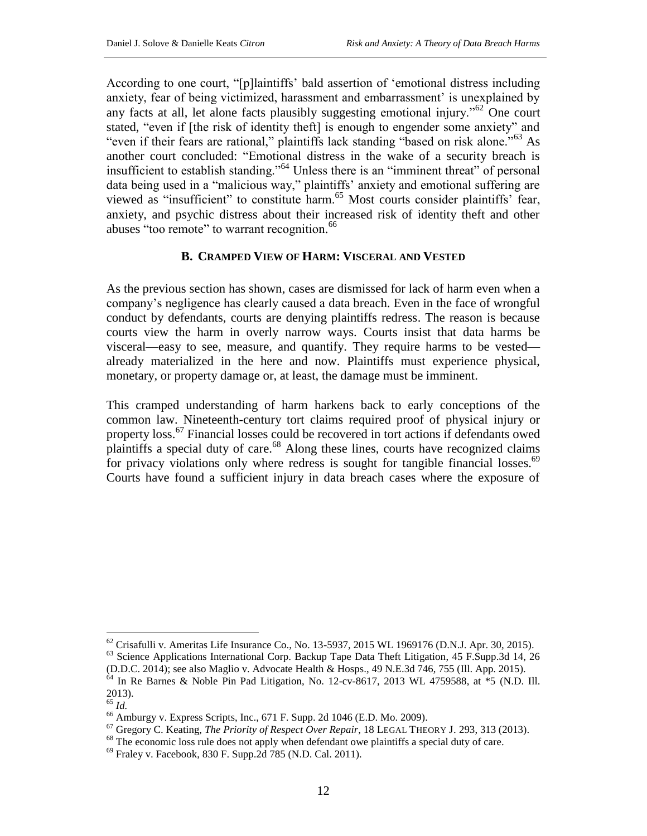According to one court, "[p]laintiffs' bald assertion of 'emotional distress including anxiety, fear of being victimized, harassment and embarrassment' is unexplained by any facts at all, let alone facts plausibly suggesting emotional injury."<sup>62</sup> One court stated, "even if [the risk of identity theft] is enough to engender some anxiety" and "even if their fears are rational," plaintiffs lack standing "based on risk alone."<sup>63</sup> As another court concluded: "Emotional distress in the wake of a security breach is insufficient to establish standing."<sup>64</sup> Unless there is an "imminent threat" of personal data being used in a "malicious way," plaintiffs' anxiety and emotional suffering are viewed as "insufficient" to constitute harm.<sup>65</sup> Most courts consider plaintiffs' fear, anxiety, and psychic distress about their increased risk of identity theft and other abuses "too remote" to warrant recognition.<sup>66</sup>

#### **B. CRAMPED VIEW OF HARM: VISCERAL AND VESTED**

<span id="page-15-0"></span>As the previous section has shown, cases are dismissed for lack of harm even when a company's negligence has clearly caused a data breach. Even in the face of wrongful conduct by defendants, courts are denying plaintiffs redress. The reason is because courts view the harm in overly narrow ways. Courts insist that data harms be visceral—easy to see, measure, and quantify. They require harms to be vested already materialized in the here and now. Plaintiffs must experience physical, monetary, or property damage or, at least, the damage must be imminent.

This cramped understanding of harm harkens back to early conceptions of the common law. Nineteenth-century tort claims required proof of physical injury or property loss. <sup>67</sup> Financial losses could be recovered in tort actions if defendants owed plaintiffs a special duty of care.<sup>68</sup> Along these lines, courts have recognized claims for privacy violations only where redress is sought for tangible financial losses.<sup>69</sup> Courts have found a sufficient injury in data breach cases where the exposure of

 $\overline{a}$  $^{62}$  Crisafulli v. Ameritas Life Insurance Co., No. 13-5937, 2015 WL 1969176 (D.N.J. Apr. 30, 2015). <sup>63</sup> Science Applications International Corp. Backup Tape Data Theft Litigation, 45 F.Supp.3d 14, 26 (D.D.C. 2014); see also Maglio v. Advocate Health & Hosps., 49 N.E.3d 746, 755 (Ill. App. 2015).

 $<sup>64</sup>$  In Re Barnes & Noble Pin Pad Litigation, No. 12-cv-8617, 2013 WL 4759588, at  $*5$  (N.D. Ill.</sup> 2013).

<sup>65</sup> *Id.*

<sup>66</sup> Amburgy v. Express Scripts, Inc., 671 F. Supp. 2d 1046 (E.D. Mo. 2009).

<sup>67</sup> Gregory C. Keating, *The Priority of Respect Over Repair*, 18 LEGAL THEORY J. 293, 313 (2013).

<sup>&</sup>lt;sup>68</sup> The economic loss rule does not apply when defendant owe plaintiffs a special duty of care.

 $^{69}$  Fraley v. Facebook, 830 F. Supp.2d 785 (N.D. Cal. 2011).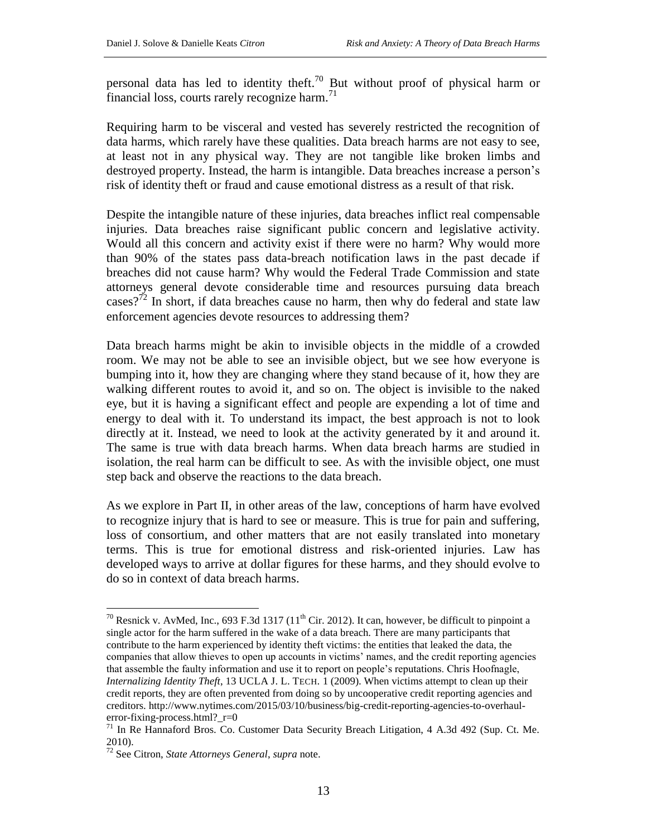personal data has led to identity the ft.<sup>70</sup> But without proof of physical harm or financial loss, courts rarely recognize harm. $71$ 

Requiring harm to be visceral and vested has severely restricted the recognition of data harms, which rarely have these qualities. Data breach harms are not easy to see, at least not in any physical way. They are not tangible like broken limbs and destroyed property. Instead, the harm is intangible. Data breaches increase a person's risk of identity theft or fraud and cause emotional distress as a result of that risk.

Despite the intangible nature of these injuries, data breaches inflict real compensable injuries. Data breaches raise significant public concern and legislative activity. Would all this concern and activity exist if there were no harm? Why would more than 90% of the states pass data-breach notification laws in the past decade if breaches did not cause harm? Why would the Federal Trade Commission and state attorneys general devote considerable time and resources pursuing data breach cases?<sup>72</sup> In short, if data breaches cause no harm, then why do federal and state law enforcement agencies devote resources to addressing them?

Data breach harms might be akin to invisible objects in the middle of a crowded room. We may not be able to see an invisible object, but we see how everyone is bumping into it, how they are changing where they stand because of it, how they are walking different routes to avoid it, and so on. The object is invisible to the naked eye, but it is having a significant effect and people are expending a lot of time and energy to deal with it. To understand its impact, the best approach is not to look directly at it. Instead, we need to look at the activity generated by it and around it. The same is true with data breach harms. When data breach harms are studied in isolation, the real harm can be difficult to see. As with the invisible object, one must step back and observe the reactions to the data breach.

As we explore in Part II, in other areas of the law, conceptions of harm have evolved to recognize injury that is hard to see or measure. This is true for pain and suffering, loss of consortium, and other matters that are not easily translated into monetary terms. This is true for emotional distress and risk-oriented injuries. Law has developed ways to arrive at dollar figures for these harms, and they should evolve to do so in context of data breach harms.

<sup>&</sup>lt;sup>70</sup> Resnick v. AvMed, Inc., 693 F.3d 1317 (11<sup>th</sup> Cir. 2012). It can, however, be difficult to pinpoint a single actor for the harm suffered in the wake of a data breach. There are many participants that contribute to the harm experienced by identity theft victims: the entities that leaked the data, the companies that allow thieves to open up accounts in victims' names, and the credit reporting agencies that assemble the faulty information and use it to report on people's reputations. Chris Hoofnagle, *Internalizing Identity Theft*, 13 UCLA J. L. TECH. 1 (2009). When victims attempt to clean up their credit reports, they are often prevented from doing so by uncooperative credit reporting agencies and creditors. http://www.nytimes.com/2015/03/10/business/big-credit-reporting-agencies-to-overhaulerror-fixing-process.html?\_r=0

<sup>&</sup>lt;sup>71</sup> In Re Hannaford Bros. Co. Customer Data Security Breach Litigation, 4 A.3d 492 (Sup. Ct. Me. 2010).

<sup>72</sup> See Citron, *State Attorneys General*, *supra* note.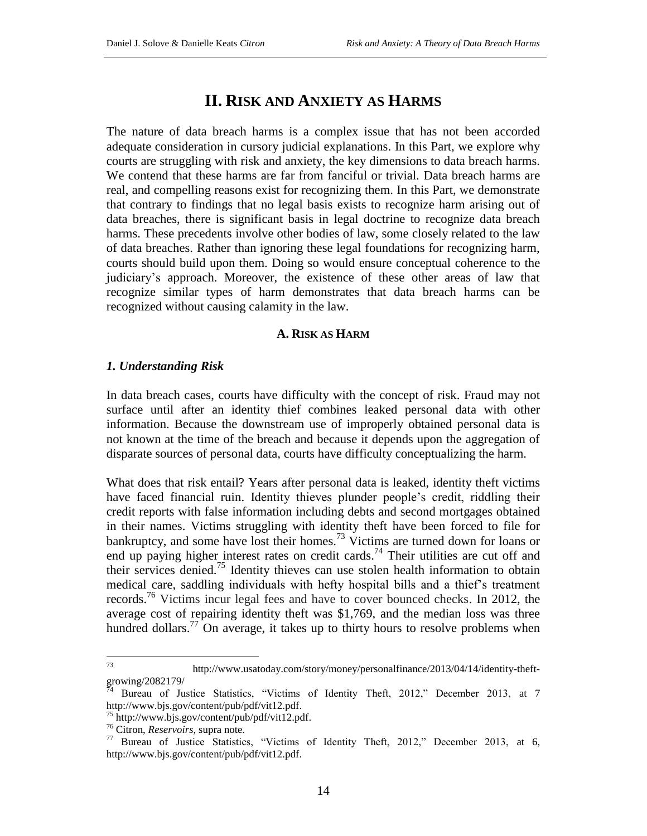### **II. RISK AND ANXIETY AS HARMS**

<span id="page-17-0"></span>The nature of data breach harms is a complex issue that has not been accorded adequate consideration in cursory judicial explanations. In this Part, we explore why courts are struggling with risk and anxiety, the key dimensions to data breach harms. We contend that these harms are far from fanciful or trivial. Data breach harms are real, and compelling reasons exist for recognizing them. In this Part, we demonstrate that contrary to findings that no legal basis exists to recognize harm arising out of data breaches, there is significant basis in legal doctrine to recognize data breach harms. These precedents involve other bodies of law, some closely related to the law of data breaches. Rather than ignoring these legal foundations for recognizing harm, courts should build upon them. Doing so would ensure conceptual coherence to the judiciary's approach. Moreover, the existence of these other areas of law that recognize similar types of harm demonstrates that data breach harms can be recognized without causing calamity in the law.

#### **A. RISK AS HARM**

#### <span id="page-17-2"></span><span id="page-17-1"></span>*1. Understanding Risk*

In data breach cases, courts have difficulty with the concept of risk. Fraud may not surface until after an identity thief combines leaked personal data with other information. Because the downstream use of improperly obtained personal data is not known at the time of the breach and because it depends upon the aggregation of disparate sources of personal data, courts have difficulty conceptualizing the harm.

What does that risk entail? Years after personal data is leaked, identity theft victims have faced financial ruin. Identity thieves plunder people's credit, riddling their credit reports with false information including debts and second mortgages obtained in their names. Victims struggling with identity theft have been forced to file for bankruptcy, and some have lost their homes.<sup>73</sup> Victims are turned down for loans or end up paying higher interest rates on credit cards.<sup>74</sup> Their utilities are cut off and their services denied.<sup>75</sup> Identity thieves can use stolen health information to obtain medical care, saddling individuals with hefty hospital bills and a thief's treatment records.<sup>76</sup> Victims incur legal fees and have to cover bounced checks. In 2012, the average cost of repairing identity theft was \$1,769, and the median loss was three hundred dollars.<sup>77</sup> On average, it takes up to thirty hours to resolve problems when

 $73$ <sup>73</sup> http://www.usatoday.com/story/money/personalfinance/2013/04/14/identity-theftgrowing/2082179/

<sup>74</sup> Bureau of Justice Statistics, "Victims of Identity Theft, 2012," December 2013, at 7 http://www.bjs.gov/content/pub/pdf/vit12.pdf.

<sup>75</sup> http://www.bjs.gov/content/pub/pdf/vit12.pdf.

<sup>76</sup> Citron, *Reservoirs*, supra note.

<sup>77</sup> Bureau of Justice Statistics, "Victims of Identity Theft, 2012," December 2013, at 6, http://www.bjs.gov/content/pub/pdf/vit12.pdf.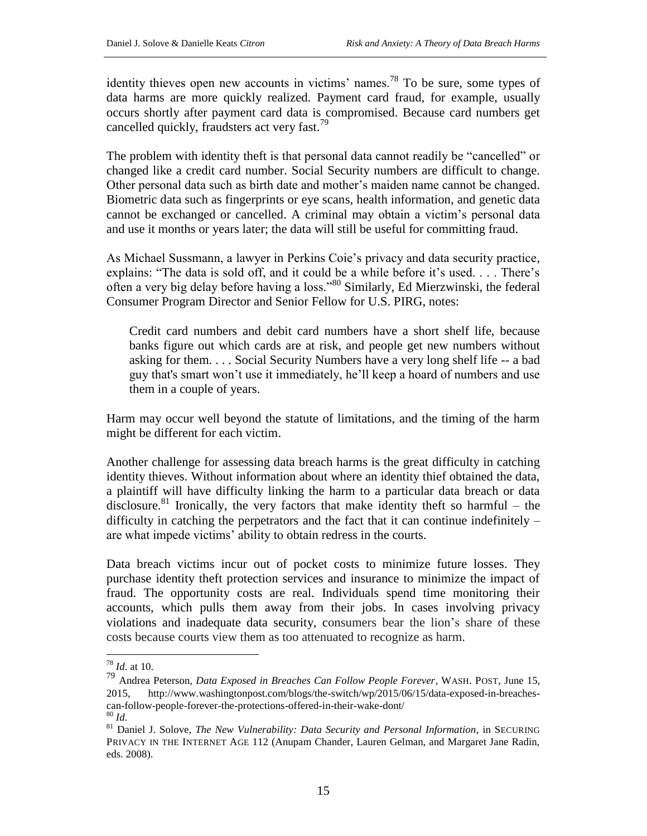identity thieves open new accounts in victims' names.<sup>78</sup> To be sure, some types of data harms are more quickly realized. Payment card fraud, for example, usually occurs shortly after payment card data is compromised. Because card numbers get cancelled quickly, fraudsters act very fast.<sup>79</sup>

The problem with identity theft is that personal data cannot readily be "cancelled" or changed like a credit card number. Social Security numbers are difficult to change. Other personal data such as birth date and mother's maiden name cannot be changed. Biometric data such as fingerprints or eye scans, health information, and genetic data cannot be exchanged or cancelled. A criminal may obtain a victim's personal data and use it months or years later; the data will still be useful for committing fraud.

As Michael Sussmann, a lawyer in Perkins Coie's privacy and data security practice, explains: "The data is sold off, and it could be a while before it's used. . . . There's often a very big delay before having a loss."<sup>80</sup> Similarly, Ed Mierzwinski, the federal Consumer Program Director and Senior Fellow for U.S. PIRG, notes:

Credit card numbers and debit card numbers have a short shelf life, because banks figure out which cards are at risk, and people get new numbers without asking for them. . . . Social Security Numbers have a very long shelf life -- a bad guy that's smart won't use it immediately, he'll keep a hoard of numbers and use them in a couple of years.

Harm may occur well beyond the statute of limitations, and the timing of the harm might be different for each victim.

Another challenge for assessing data breach harms is the great difficulty in catching identity thieves. Without information about where an identity thief obtained the data, a plaintiff will have difficulty linking the harm to a particular data breach or data disclosure.<sup>81</sup> Ironically, the very factors that make identity theft so harmful – the difficulty in catching the perpetrators and the fact that it can continue indefinitely – are what impede victims' ability to obtain redress in the courts.

Data breach victims incur out of pocket costs to minimize future losses. They purchase identity theft protection services and insurance to minimize the impact of fraud. The opportunity costs are real. Individuals spend time monitoring their accounts, which pulls them away from their jobs. In cases involving privacy violations and inadequate data security, consumers bear the lion's share of these costs because courts view them as too attenuated to recognize as harm.

<sup>78</sup> *Id*. at 10.

<sup>79</sup> Andrea Peterson, *Data Exposed in Breaches Can Follow People Forever*, WASH. POST, June 15, 2015, http://www.washingtonpost.com/blogs/the-switch/wp/2015/06/15/data-exposed-in-breachescan-follow-people-forever-the-protections-offered-in-their-wake-dont/ <sup>80</sup> *Id.*

<sup>81</sup> Daniel J. Solove, *The New Vulnerability: Data Security and Personal Information*, in SECURING PRIVACY IN THE INTERNET AGE 112 (Anupam Chander, Lauren Gelman, and Margaret Jane Radin, eds. 2008).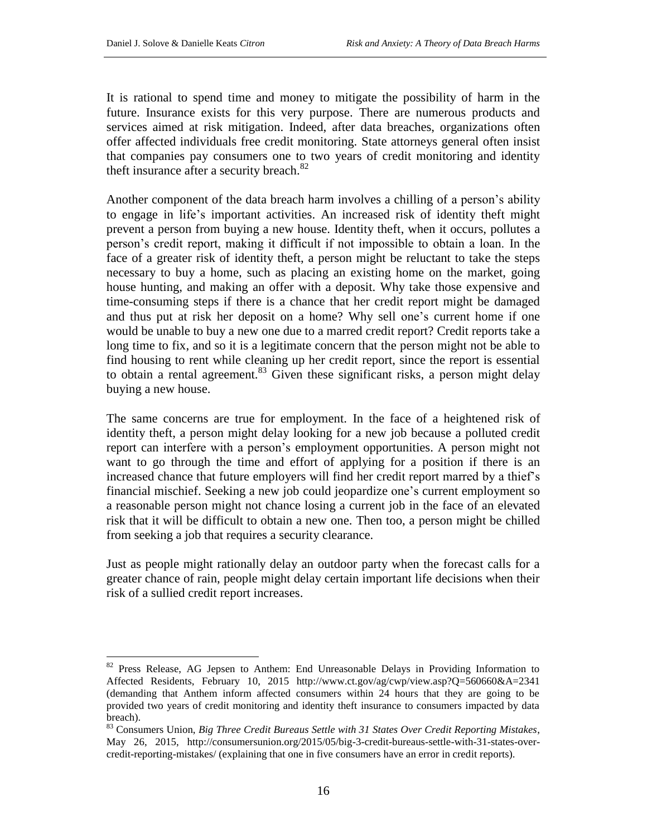$\overline{a}$ 

It is rational to spend time and money to mitigate the possibility of harm in the future. Insurance exists for this very purpose. There are numerous products and services aimed at risk mitigation. Indeed, after data breaches, organizations often offer affected individuals free credit monitoring. State attorneys general often insist that companies pay consumers one to two years of credit monitoring and identity theft insurance after a security breach. 82

Another component of the data breach harm involves a chilling of a person's ability to engage in life's important activities. An increased risk of identity theft might prevent a person from buying a new house. Identity theft, when it occurs, pollutes a person's credit report, making it difficult if not impossible to obtain a loan. In the face of a greater risk of identity theft, a person might be reluctant to take the steps necessary to buy a home, such as placing an existing home on the market, going house hunting, and making an offer with a deposit. Why take those expensive and time-consuming steps if there is a chance that her credit report might be damaged and thus put at risk her deposit on a home? Why sell one's current home if one would be unable to buy a new one due to a marred credit report? Credit reports take a long time to fix, and so it is a legitimate concern that the person might not be able to find housing to rent while cleaning up her credit report, since the report is essential to obtain a rental agreement. $83$  Given these significant risks, a person might delay buying a new house.

The same concerns are true for employment. In the face of a heightened risk of identity theft, a person might delay looking for a new job because a polluted credit report can interfere with a person's employment opportunities. A person might not want to go through the time and effort of applying for a position if there is an increased chance that future employers will find her credit report marred by a thief's financial mischief. Seeking a new job could jeopardize one's current employment so a reasonable person might not chance losing a current job in the face of an elevated risk that it will be difficult to obtain a new one. Then too, a person might be chilled from seeking a job that requires a security clearance.

Just as people might rationally delay an outdoor party when the forecast calls for a greater chance of rain, people might delay certain important life decisions when their risk of a sullied credit report increases.

<sup>&</sup>lt;sup>82</sup> Press Release, AG Jepsen to Anthem: End Unreasonable Delays in Providing Information to Affected Residents, February 10, 2015 http://www.ct.gov/ag/cwp/view.asp?Q=560660&A=2341 (demanding that Anthem inform affected consumers within 24 hours that they are going to be provided two years of credit monitoring and identity theft insurance to consumers impacted by data breach).

<sup>83</sup> Consumers Union, *Big Three Credit Bureaus Settle with 31 States Over Credit Reporting Mistakes*, May 26, 2015, http://consumersunion.org/2015/05/big-3-credit-bureaus-settle-with-31-states-overcredit-reporting-mistakes/ (explaining that one in five consumers have an error in credit reports).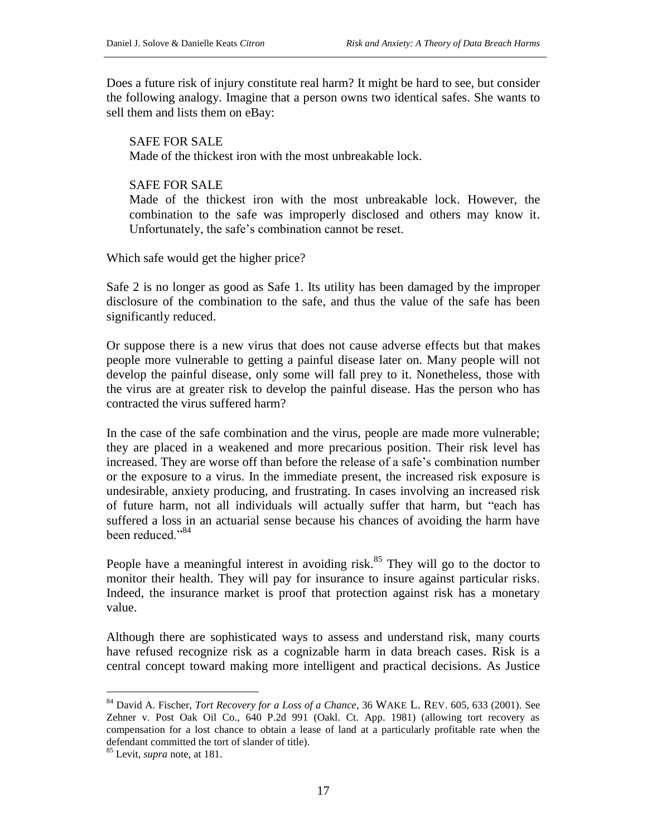Does a future risk of injury constitute real harm? It might be hard to see, but consider the following analogy. Imagine that a person owns two identical safes. She wants to sell them and lists them on eBay:

SAFE FOR SALE Made of the thickest iron with the most unbreakable lock.

#### SAFE FOR SALE

Made of the thickest iron with the most unbreakable lock. However, the combination to the safe was improperly disclosed and others may know it. Unfortunately, the safe's combination cannot be reset.

Which safe would get the higher price?

Safe 2 is no longer as good as Safe 1. Its utility has been damaged by the improper disclosure of the combination to the safe, and thus the value of the safe has been significantly reduced.

Or suppose there is a new virus that does not cause adverse effects but that makes people more vulnerable to getting a painful disease later on. Many people will not develop the painful disease, only some will fall prey to it. Nonetheless, those with the virus are at greater risk to develop the painful disease. Has the person who has contracted the virus suffered harm?

In the case of the safe combination and the virus, people are made more vulnerable; they are placed in a weakened and more precarious position. Their risk level has increased. They are worse off than before the release of a safe's combination number or the exposure to a virus. In the immediate present, the increased risk exposure is undesirable, anxiety producing, and frustrating. In cases involving an increased risk of future harm, not all individuals will actually suffer that harm, but "each has suffered a loss in an actuarial sense because his chances of avoiding the harm have been reduced."<sup>84</sup>

People have a meaningful interest in avoiding risk.<sup>85</sup> They will go to the doctor to monitor their health. They will pay for insurance to insure against particular risks. Indeed, the insurance market is proof that protection against risk has a monetary value.

Although there are sophisticated ways to assess and understand risk, many courts have refused recognize risk as a cognizable harm in data breach cases. Risk is a central concept toward making more intelligent and practical decisions. As Justice

<sup>84</sup> David A. Fischer, *Tort Recovery for a Loss of a Chance*, 36 WAKE L. REV. 605, 633 (2001). See Zehner v. Post Oak Oil Co., 640 P.2d 991 (Oakl. Ct. App. 1981) (allowing tort recovery as compensation for a lost chance to obtain a lease of land at a particularly profitable rate when the defendant committed the tort of slander of title).

<sup>85</sup> Levit, *supra* note, at 181.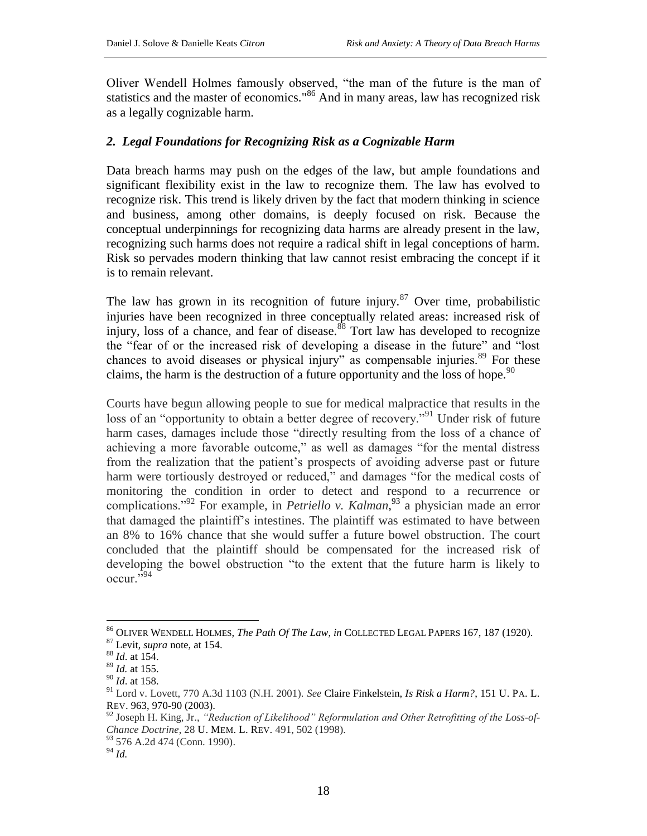Oliver Wendell Holmes famously observed, "the man of the future is the man of statistics and the master of economics."<sup>86</sup> And in many areas, law has recognized risk as a legally cognizable harm.

#### <span id="page-21-0"></span>*2. Legal Foundations for Recognizing Risk as a Cognizable Harm*

Data breach harms may push on the edges of the law, but ample foundations and significant flexibility exist in the law to recognize them. The law has evolved to recognize risk. This trend is likely driven by the fact that modern thinking in science and business, among other domains, is deeply focused on risk. Because the conceptual underpinnings for recognizing data harms are already present in the law, recognizing such harms does not require a radical shift in legal conceptions of harm. Risk so pervades modern thinking that law cannot resist embracing the concept if it is to remain relevant.

The law has grown in its recognition of future injury. $87$  Over time, probabilistic injuries have been recognized in three conceptually related areas: increased risk of injury, loss of a chance, and fear of disease.<sup>88</sup> Tort law has developed to recognize the "fear of or the increased risk of developing a disease in the future" and "lost chances to avoid diseases or physical injury" as compensable injuries.<sup>89</sup> For these claims, the harm is the destruction of a future opportunity and the loss of hope.<sup>90</sup>

Courts have begun allowing people to sue for medical malpractice that results in the loss of an "opportunity to obtain a better degree of recovery."<sup>91</sup> Under risk of future harm cases, damages include those "directly resulting from the loss of a chance of achieving a more favorable outcome," as well as damages "for the mental distress from the realization that the patient's prospects of avoiding adverse past or future harm were tortiously destroyed or reduced," and damages "for the medical costs of monitoring the condition in order to detect and respond to a recurrence or complications."<sup>92</sup> For example, in *Petriello v. Kalman*, <sup>93</sup> a physician made an error that damaged the plaintiff's intestines. The plaintiff was estimated to have between an 8% to 16% chance that she would suffer a future bowel obstruction. The court concluded that the plaintiff should be compensated for the increased risk of developing the bowel obstruction "to the extent that the future harm is likely to occur."<sup>94</sup>

<sup>86</sup> OLIVER WENDELL HOLMES, *The Path Of The Law*, *in* COLLECTED LEGAL PAPERS 167, 187 (1920).

<sup>87</sup> Levit, *supra* note, at 154.

<sup>88</sup> *Id*. at 154.

<sup>89</sup> *Id.* at 155.

<sup>90</sup> *Id*. at 158.

<sup>91</sup> Lord v. Lovett, 770 A.3d 1103 (N.H. 2001). *See* Claire Finkelstein, *Is Risk a Harm?*, 151 U. PA. L. REV. 963, 970-90 (2003).

<sup>92</sup> Joseph H. King, Jr., *"Reduction of Likelihood" Reformulation and Other Retrofitting of the Loss-of-Chance Doctrine*, 28 U. MEM. L. REV. 491, 502 (1998).

<sup>93 576</sup> A.2d 474 (Conn. 1990).

<sup>94</sup> *Id.*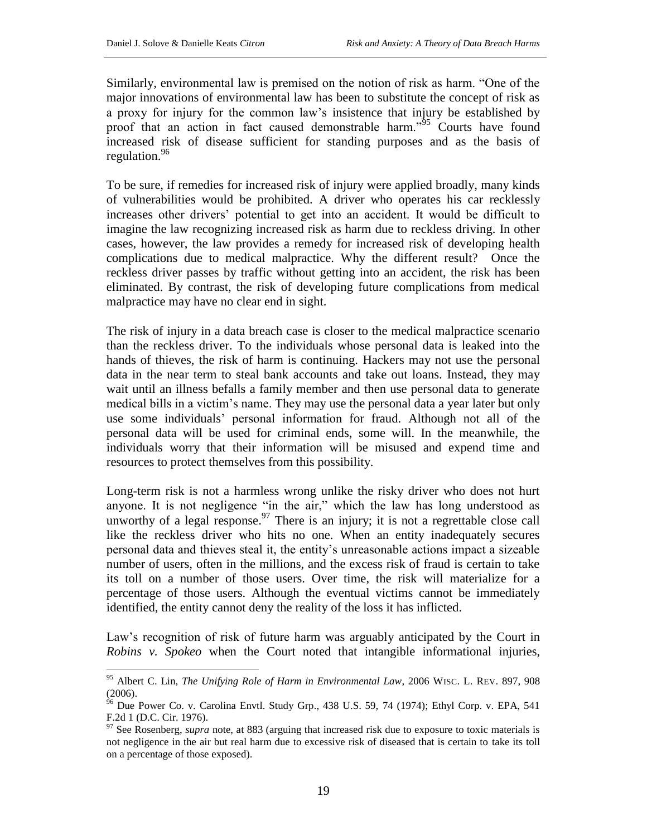$\overline{a}$ 

Similarly, environmental law is premised on the notion of risk as harm. "One of the major innovations of environmental law has been to substitute the concept of risk as a proxy for injury for the common law's insistence that injury be established by proof that an action in fact caused demonstrable harm."<sup>95</sup> Courts have found increased risk of disease sufficient for standing purposes and as the basis of regulation.<sup>96</sup>

To be sure, if remedies for increased risk of injury were applied broadly, many kinds of vulnerabilities would be prohibited. A driver who operates his car recklessly increases other drivers' potential to get into an accident. It would be difficult to imagine the law recognizing increased risk as harm due to reckless driving. In other cases, however, the law provides a remedy for increased risk of developing health complications due to medical malpractice. Why the different result? Once the reckless driver passes by traffic without getting into an accident, the risk has been eliminated. By contrast, the risk of developing future complications from medical malpractice may have no clear end in sight.

The risk of injury in a data breach case is closer to the medical malpractice scenario than the reckless driver. To the individuals whose personal data is leaked into the hands of thieves, the risk of harm is continuing. Hackers may not use the personal data in the near term to steal bank accounts and take out loans. Instead, they may wait until an illness befalls a family member and then use personal data to generate medical bills in a victim's name. They may use the personal data a year later but only use some individuals' personal information for fraud. Although not all of the personal data will be used for criminal ends, some will. In the meanwhile, the individuals worry that their information will be misused and expend time and resources to protect themselves from this possibility.

Long-term risk is not a harmless wrong unlike the risky driver who does not hurt anyone. It is not negligence "in the air," which the law has long understood as unworthy of a legal response.<sup>97</sup> There is an injury; it is not a regrettable close call like the reckless driver who hits no one. When an entity inadequately secures personal data and thieves steal it, the entity's unreasonable actions impact a sizeable number of users, often in the millions, and the excess risk of fraud is certain to take its toll on a number of those users. Over time, the risk will materialize for a percentage of those users. Although the eventual victims cannot be immediately identified, the entity cannot deny the reality of the loss it has inflicted.

Law's recognition of risk of future harm was arguably anticipated by the Court in *Robins v. Spokeo* when the Court noted that intangible informational injuries,

<sup>95</sup> Albert C. Lin, *The Unifying Role of Harm in Environmental Law*, 2006 WISC. L. REV. 897, 908 (2006).

<sup>96</sup> Due Power Co. v. Carolina Envtl. Study Grp., 438 U.S. 59, 74 (1974); Ethyl Corp. v. EPA, 541 F.2d 1 (D.C. Cir. 1976).

<sup>&</sup>lt;sup>97</sup> See Rosenberg, *supra* note, at 883 (arguing that increased risk due to exposure to toxic materials is not negligence in the air but real harm due to excessive risk of diseased that is certain to take its toll on a percentage of those exposed).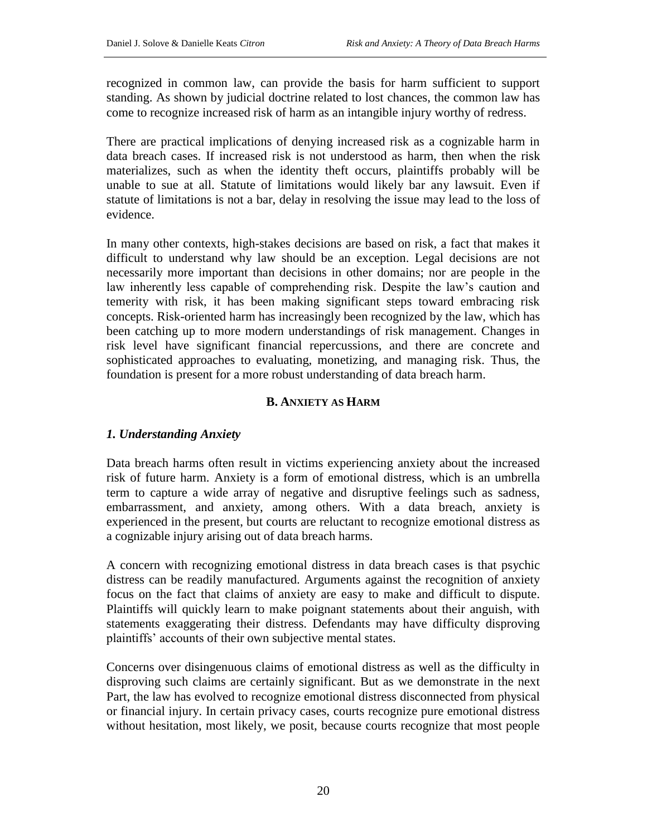recognized in common law, can provide the basis for harm sufficient to support standing. As shown by judicial doctrine related to lost chances, the common law has come to recognize increased risk of harm as an intangible injury worthy of redress.

There are practical implications of denying increased risk as a cognizable harm in data breach cases. If increased risk is not understood as harm, then when the risk materializes, such as when the identity theft occurs, plaintiffs probably will be unable to sue at all. Statute of limitations would likely bar any lawsuit. Even if statute of limitations is not a bar, delay in resolving the issue may lead to the loss of evidence.

In many other contexts, high-stakes decisions are based on risk, a fact that makes it difficult to understand why law should be an exception. Legal decisions are not necessarily more important than decisions in other domains; nor are people in the law inherently less capable of comprehending risk. Despite the law's caution and temerity with risk, it has been making significant steps toward embracing risk concepts. Risk-oriented harm has increasingly been recognized by the law, which has been catching up to more modern understandings of risk management. Changes in risk level have significant financial repercussions, and there are concrete and sophisticated approaches to evaluating, monetizing, and managing risk. Thus, the foundation is present for a more robust understanding of data breach harm.

#### **B. ANXIETY AS HARM**

#### <span id="page-23-1"></span><span id="page-23-0"></span>*1. Understanding Anxiety*

Data breach harms often result in victims experiencing anxiety about the increased risk of future harm. Anxiety is a form of emotional distress, which is an umbrella term to capture a wide array of negative and disruptive feelings such as sadness, embarrassment, and anxiety, among others. With a data breach, anxiety is experienced in the present, but courts are reluctant to recognize emotional distress as a cognizable injury arising out of data breach harms.

A concern with recognizing emotional distress in data breach cases is that psychic distress can be readily manufactured. Arguments against the recognition of anxiety focus on the fact that claims of anxiety are easy to make and difficult to dispute. Plaintiffs will quickly learn to make poignant statements about their anguish, with statements exaggerating their distress. Defendants may have difficulty disproving plaintiffs' accounts of their own subjective mental states.

Concerns over disingenuous claims of emotional distress as well as the difficulty in disproving such claims are certainly significant. But as we demonstrate in the next Part, the law has evolved to recognize emotional distress disconnected from physical or financial injury. In certain privacy cases, courts recognize pure emotional distress without hesitation, most likely, we posit, because courts recognize that most people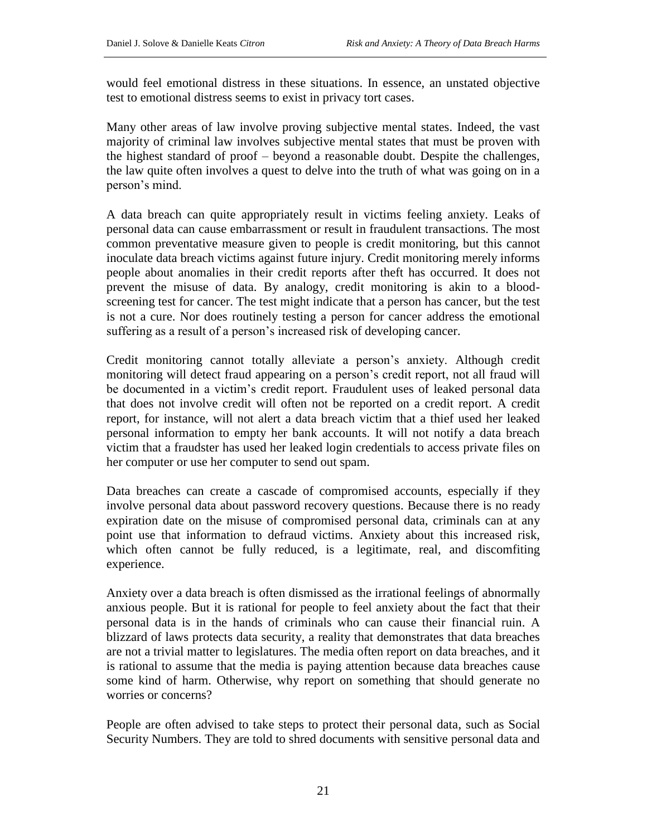would feel emotional distress in these situations. In essence, an unstated objective test to emotional distress seems to exist in privacy tort cases.

Many other areas of law involve proving subjective mental states. Indeed, the vast majority of criminal law involves subjective mental states that must be proven with the highest standard of proof – beyond a reasonable doubt. Despite the challenges, the law quite often involves a quest to delve into the truth of what was going on in a person's mind.

A data breach can quite appropriately result in victims feeling anxiety. Leaks of personal data can cause embarrassment or result in fraudulent transactions. The most common preventative measure given to people is credit monitoring, but this cannot inoculate data breach victims against future injury. Credit monitoring merely informs people about anomalies in their credit reports after theft has occurred. It does not prevent the misuse of data. By analogy, credit monitoring is akin to a bloodscreening test for cancer. The test might indicate that a person has cancer, but the test is not a cure. Nor does routinely testing a person for cancer address the emotional suffering as a result of a person's increased risk of developing cancer.

Credit monitoring cannot totally alleviate a person's anxiety. Although credit monitoring will detect fraud appearing on a person's credit report, not all fraud will be documented in a victim's credit report. Fraudulent uses of leaked personal data that does not involve credit will often not be reported on a credit report. A credit report, for instance, will not alert a data breach victim that a thief used her leaked personal information to empty her bank accounts. It will not notify a data breach victim that a fraudster has used her leaked login credentials to access private files on her computer or use her computer to send out spam.

Data breaches can create a cascade of compromised accounts, especially if they involve personal data about password recovery questions. Because there is no ready expiration date on the misuse of compromised personal data, criminals can at any point use that information to defraud victims. Anxiety about this increased risk, which often cannot be fully reduced, is a legitimate, real, and discomfiting experience.

Anxiety over a data breach is often dismissed as the irrational feelings of abnormally anxious people. But it is rational for people to feel anxiety about the fact that their personal data is in the hands of criminals who can cause their financial ruin. A blizzard of laws protects data security, a reality that demonstrates that data breaches are not a trivial matter to legislatures. The media often report on data breaches, and it is rational to assume that the media is paying attention because data breaches cause some kind of harm. Otherwise, why report on something that should generate no worries or concerns?

People are often advised to take steps to protect their personal data, such as Social Security Numbers. They are told to shred documents with sensitive personal data and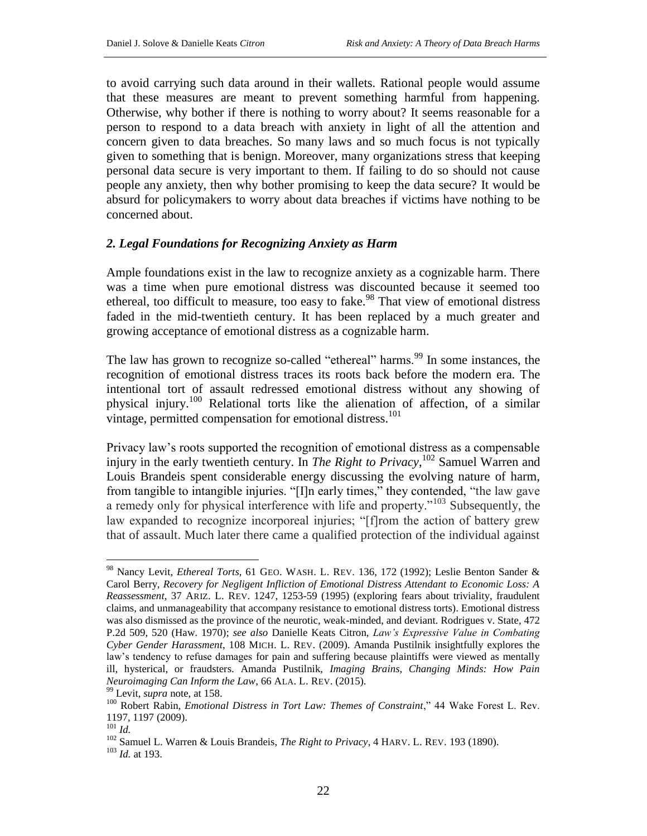to avoid carrying such data around in their wallets. Rational people would assume that these measures are meant to prevent something harmful from happening. Otherwise, why bother if there is nothing to worry about? It seems reasonable for a person to respond to a data breach with anxiety in light of all the attention and concern given to data breaches. So many laws and so much focus is not typically given to something that is benign. Moreover, many organizations stress that keeping personal data secure is very important to them. If failing to do so should not cause people any anxiety, then why bother promising to keep the data secure? It would be absurd for policymakers to worry about data breaches if victims have nothing to be concerned about.

#### <span id="page-25-0"></span>*2. Legal Foundations for Recognizing Anxiety as Harm*

Ample foundations exist in the law to recognize anxiety as a cognizable harm. There was a time when pure emotional distress was discounted because it seemed too ethereal, too difficult to measure, too easy to fake.<sup>98</sup> That view of emotional distress faded in the mid-twentieth century. It has been replaced by a much greater and growing acceptance of emotional distress as a cognizable harm.

The law has grown to recognize so-called "ethereal" harms.<sup>99</sup> In some instances, the recognition of emotional distress traces its roots back before the modern era. The intentional tort of assault redressed emotional distress without any showing of physical injury.<sup>100</sup> Relational torts like the alienation of affection, of a similar vintage, permitted compensation for emotional distress.<sup>101</sup>

Privacy law's roots supported the recognition of emotional distress as a compensable injury in the early twentieth century. In *The Right to Privacy*, <sup>102</sup> Samuel Warren and Louis Brandeis spent considerable energy discussing the evolving nature of harm, from tangible to intangible injuries. "[I]n early times," they contended, "the law gave a remedy only for physical interference with life and property."<sup>103</sup> Subsequently, the law expanded to recognize incorporeal injuries; "[f]rom the action of battery grew that of assault. Much later there came a qualified protection of the individual against

<sup>98</sup> Nancy Levit, *Ethereal Torts*, 61 GEO. WASH. L. REV. 136, 172 (1992); Leslie Benton Sander & Carol Berry, *Recovery for Negligent Infliction of Emotional Distress Attendant to Economic Loss: A Reassessment*, 37 ARIZ. L. REV. 1247, 1253-59 (1995) (exploring fears about triviality, fraudulent claims, and unmanageability that accompany resistance to emotional distress torts). Emotional distress was also dismissed as the province of the neurotic, weak-minded, and deviant. Rodrigues v. State, 472 P.2d 509, 520 (Haw. 1970); *see also* Danielle Keats Citron, *Law's Expressive Value in Combating Cyber Gender Harassment*, 108 MICH. L. REV. (2009). Amanda Pustilnik insightfully explores the law's tendency to refuse damages for pain and suffering because plaintiffs were viewed as mentally ill, hysterical, or fraudsters. Amanda Pustilnik, *Imaging Brains, Changing Minds: How Pain Neuroimaging Can Inform the Law*, 66 ALA. L. REV. (2015).

<sup>99</sup> Levit, *supra* note, at 158.

<sup>&</sup>lt;sup>100</sup> Robert Rabin, *Emotional Distress in Tort Law: Themes of Constraint*," 44 Wake Forest L. Rev. 1197, 1197 (2009).

<sup>101</sup> *Id.*

<sup>102</sup> Samuel L. Warren & Louis Brandeis, *The Right to Privacy*, 4 HARV. L. REV. 193 (1890).

<sup>103</sup> *Id.* at 193.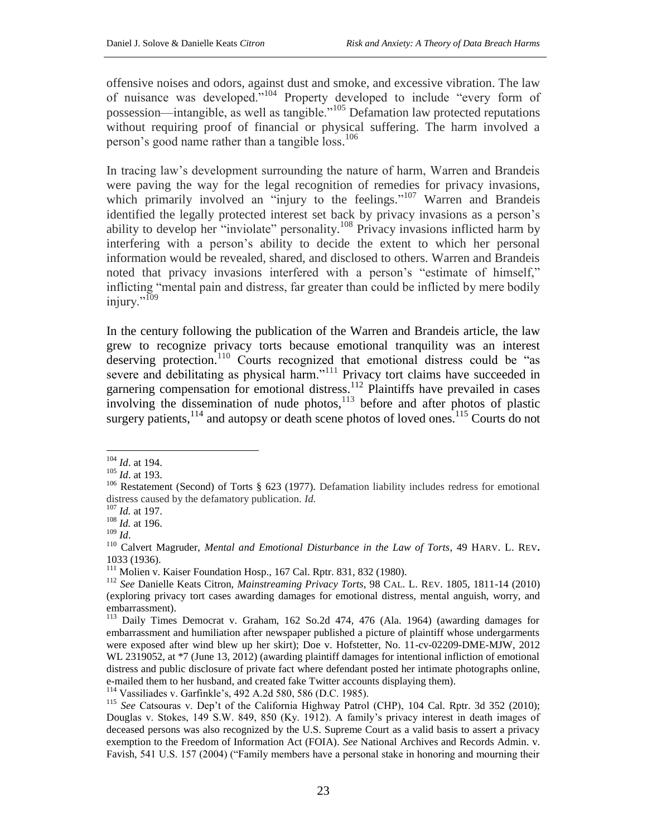offensive noises and odors, against dust and smoke, and excessive vibration. The law of nuisance was developed."<sup>104</sup> Property developed to include "every form of possession—intangible, as well as tangible."<sup>105</sup> Defamation law protected reputations without requiring proof of financial or physical suffering. The harm involved a person's good name rather than a tangible loss.<sup>106</sup>

In tracing law's development surrounding the nature of harm, Warren and Brandeis were paving the way for the legal recognition of remedies for privacy invasions, which primarily involved an "injury to the feelings."<sup>107</sup> Warren and Brandeis identified the legally protected interest set back by privacy invasions as a person's ability to develop her "inviolate" personality.<sup>108</sup> Privacy invasions inflicted harm by interfering with a person's ability to decide the extent to which her personal information would be revealed, shared, and disclosed to others. Warren and Brandeis noted that privacy invasions interfered with a person's "estimate of himself," inflicting "mental pain and distress, far greater than could be inflicted by mere bodily  $injurv.$ <sup> $109$ </sup>

In the century following the publication of the Warren and Brandeis article, the law grew to recognize privacy torts because emotional tranquility was an interest deserving protection.<sup>110</sup> Courts recognized that emotional distress could be "as severe and debilitating as physical harm."<sup>111</sup> Privacy tort claims have succeeded in garnering compensation for emotional distress. <sup>112</sup> Plaintiffs have prevailed in cases involving the dissemination of nude photos, $113$  before and after photos of plastic surgery patients,<sup>114</sup> and autopsy or death scene photos of loved ones.<sup>115</sup> Courts do not

<sup>104</sup> *Id*. at 194.

<sup>105</sup> *Id*. at 193.

<sup>&</sup>lt;sup>106</sup> Restatement (Second) of Torts § 623 (1977). Defamation liability includes redress for emotional distress caused by the defamatory publication. *Id.*

<sup>107</sup> *Id.* at 197.

 $108$  *Id.* at 196.

<sup>109</sup> *Id*.

<sup>110</sup> Calvert Magruder, *Mental and Emotional Disturbance in the Law of Torts*, 49 HARV. L. REV**.** 1033 (1936).

 $111$  Molien v. Kaiser Foundation Hosp., 167 Cal. Rptr. 831, 832 (1980).

<sup>112</sup> *See* Danielle Keats Citron, *Mainstreaming Privacy Torts*, 98 CAL. L. REV. 1805, 1811-14 (2010) (exploring privacy tort cases awarding damages for emotional distress, mental anguish, worry, and embarrassment).

<sup>113</sup> Daily Times Democrat v. Graham, 162 So.2d 474, 476 (Ala. 1964) (awarding damages for embarrassment and humiliation after newspaper published a picture of plaintiff whose undergarments were exposed after wind blew up her skirt); Doe v. Hofstetter, No. 11-cv-02209-DME-MJW, 2012 WL 2319052, at \*7 (June 13, 2012) (awarding plaintiff damages for intentional infliction of emotional distress and public disclosure of private fact where defendant posted her intimate photographs online, e-mailed them to her husband, and created fake Twitter accounts displaying them).

<sup>114</sup> Vassiliades v. Garfinkle's, 492 A.2d 580, 586 (D.C. 1985).

<sup>115</sup> *See* Catsouras v. Dep't of the California Highway Patrol (CHP), 104 Cal. Rptr. 3d 352 (2010); Douglas v. Stokes, 149 S.W. 849, 850 (Ky. 1912). A family's privacy interest in death images of deceased persons was also recognized by the U.S. Supreme Court as a valid basis to assert a privacy exemption to the Freedom of Information Act (FOIA). *See* National Archives and Records Admin. v. Favish, 541 U.S. 157 (2004) ("Family members have a personal stake in honoring and mourning their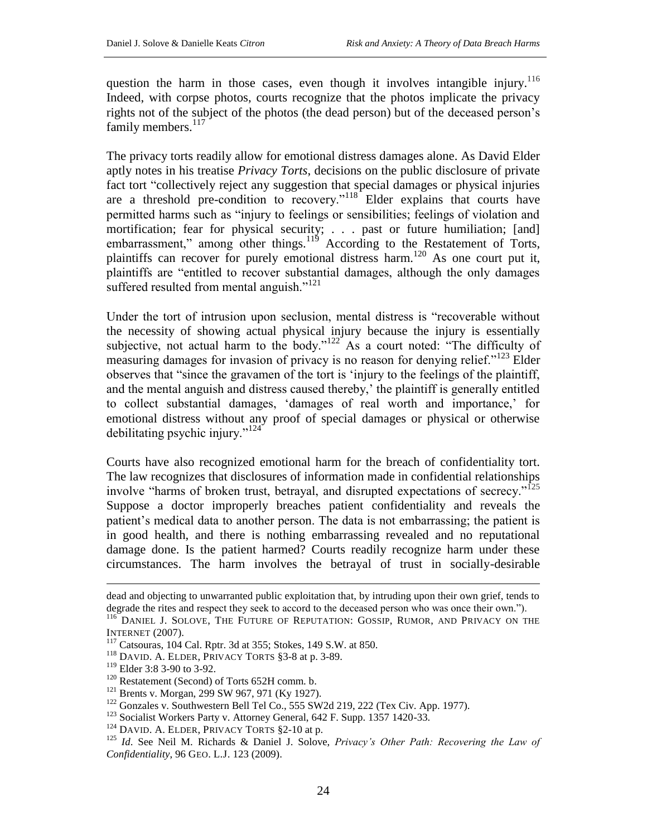question the harm in those cases, even though it involves intangible injury.<sup>116</sup> Indeed, with corpse photos, courts recognize that the photos implicate the privacy rights not of the subject of the photos (the dead person) but of the deceased person's family members.<sup>117</sup>

The privacy torts readily allow for emotional distress damages alone. As David Elder aptly notes in his treatise *Privacy Torts*, decisions on the public disclosure of private fact tort "collectively reject any suggestion that special damages or physical injuries are a threshold pre-condition to recovery."<sup>118</sup> Elder explains that courts have permitted harms such as "injury to feelings or sensibilities; feelings of violation and mortification; fear for physical security; . . . past or future humiliation; [and] embarrassment," among other things.<sup>119</sup> According to the Restatement of Torts, plaintiffs can recover for purely emotional distress harm.<sup>120</sup> As one court put it, plaintiffs are "entitled to recover substantial damages, although the only damages suffered resulted from mental anguish."<sup>121</sup>

Under the tort of intrusion upon seclusion, mental distress is "recoverable without the necessity of showing actual physical injury because the injury is essentially subjective, not actual harm to the body."<sup>122</sup> As a court noted: "The difficulty of measuring damages for invasion of privacy is no reason for denying relief."<sup>123</sup> Elder observes that "since the gravamen of the tort is 'injury to the feelings of the plaintiff, and the mental anguish and distress caused thereby,' the plaintiff is generally entitled to collect substantial damages, 'damages of real worth and importance,' for emotional distress without any proof of special damages or physical or otherwise debilitating psychic injury."<sup>124</sup>

Courts have also recognized emotional harm for the breach of confidentiality tort. The law recognizes that disclosures of information made in confidential relationships involve "harms of broken trust, betrayal, and disrupted expectations of secrecy."<sup>125</sup> Suppose a doctor improperly breaches patient confidentiality and reveals the patient's medical data to another person. The data is not embarrassing; the patient is in good health, and there is nothing embarrassing revealed and no reputational damage done. Is the patient harmed? Courts readily recognize harm under these circumstances. The harm involves the betrayal of trust in socially-desirable

1

dead and objecting to unwarranted public exploitation that, by intruding upon their own grief, tends to degrade the rites and respect they seek to accord to the deceased person who was once their own.").

<sup>&</sup>lt;sup>116</sup> DANIEL J. SOLOVE, THE FUTURE OF REPUTATION: GOSSIP, RUMOR, AND PRIVACY ON THE INTERNET (2007).

<sup>117</sup> Catsouras, 104 Cal. Rptr. 3d at 355; Stokes, 149 S.W. at 850.

<sup>118</sup> DAVID. A. ELDER, PRIVACY TORTS §3-8 at p. 3-89.

<sup>119</sup> Elder 3:8 3-90 to 3-92.

<sup>&</sup>lt;sup>120</sup> Restatement (Second) of Torts 652H comm. b.

<sup>&</sup>lt;sup>121</sup> Brents v. Morgan, 299 SW 967, 971 (Ky 1927).

 $122$  Gonzales v. Southwestern Bell Tel Co., 555 SW2d 219, 222 (Tex Civ. App. 1977).

<sup>&</sup>lt;sup>123</sup> Socialist Workers Party v. Attorney General, 642 F. Supp. 1357 1420-33.

<sup>&</sup>lt;sup>124</sup> DAVID. A. ELDER, PRIVACY TORTS §2-10 at p.

<sup>125</sup> *Id*. See Neil M. Richards & Daniel J. Solove, *Privacy's Other Path: Recovering the Law of Confidentiality*, 96 GEO. L.J. 123 (2009).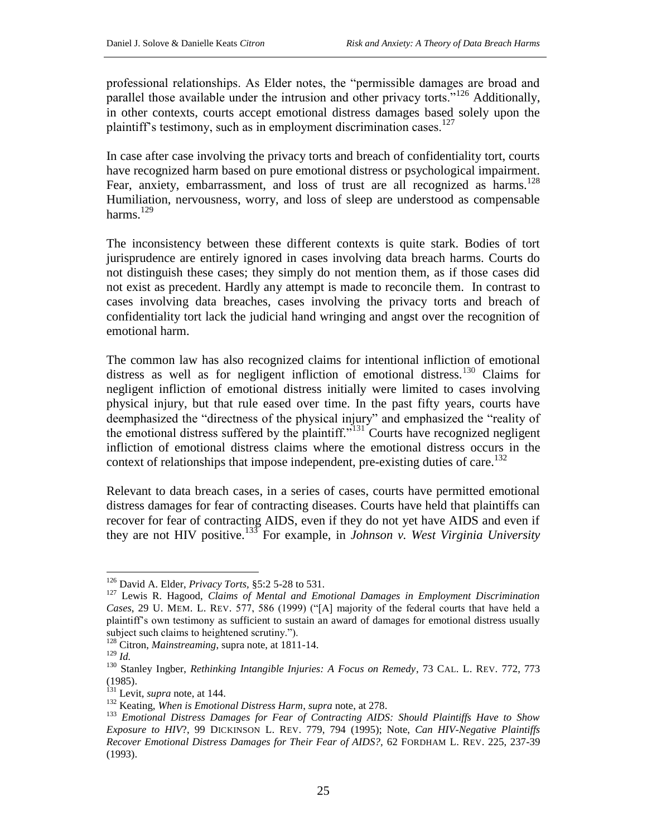professional relationships. As Elder notes, the "permissible damages are broad and parallel those available under the intrusion and other privacy torts."<sup>126</sup> Additionally, in other contexts, courts accept emotional distress damages based solely upon the plaintiff's testimony, such as in employment discrimination cases.<sup>127</sup>

In case after case involving the privacy torts and breach of confidentiality tort, courts have recognized harm based on pure emotional distress or psychological impairment. Fear, anxiety, embarrassment, and loss of trust are all recognized as harms.<sup>128</sup> Humiliation, nervousness, worry, and loss of sleep are understood as compensable harms. $129$ 

The inconsistency between these different contexts is quite stark. Bodies of tort jurisprudence are entirely ignored in cases involving data breach harms. Courts do not distinguish these cases; they simply do not mention them, as if those cases did not exist as precedent. Hardly any attempt is made to reconcile them. In contrast to cases involving data breaches, cases involving the privacy torts and breach of confidentiality tort lack the judicial hand wringing and angst over the recognition of emotional harm.

The common law has also recognized claims for intentional infliction of emotional distress as well as for negligent infliction of emotional distress.<sup>130</sup> Claims for negligent infliction of emotional distress initially were limited to cases involving physical injury, but that rule eased over time. In the past fifty years, courts have deemphasized the "directness of the physical injury" and emphasized the "reality of the emotional distress suffered by the plaintiff." $\frac{131}{2}$  Courts have recognized negligent infliction of emotional distress claims where the emotional distress occurs in the context of relationships that impose independent, pre-existing duties of care.<sup>132</sup>

Relevant to data breach cases, in a series of cases, courts have permitted emotional distress damages for fear of contracting diseases. Courts have held that plaintiffs can recover for fear of contracting AIDS, even if they do not yet have AIDS and even if they are not HIV positive.<sup>133</sup> For example, in *Johnson v. West Virginia University* 

<sup>126</sup> David A. Elder, *Privacy Torts,* §5:2 5-28 to 531.

<sup>127</sup> Lewis R. Hagood, *Claims of Mental and Emotional Damages in Employment Discrimination Cases*, 29 U. MEM. L. REV. 577, 586 (1999) ("[A] majority of the federal courts that have held a plaintiff's own testimony as sufficient to sustain an award of damages for emotional distress usually subject such claims to heightened scrutiny.").

<sup>128</sup> Citron, *Mainstreaming*, supra note, at 1811-14.

<sup>129</sup> *Id.*

<sup>130</sup> Stanley Ingber, *Rethinking Intangible Injuries: A Focus on Remedy*, 73 CAL. L. REV. 772, 773 (1985).

<sup>131</sup> Levit, *supra* note, at 144.

<sup>132</sup> Keating, *When is Emotional Distress Harm*, *supra* note, at 278.

<sup>133</sup> *Emotional Distress Damages for Fear of Contracting AIDS: Should Plaintiffs Have to Show Exposure to HIV*?, 99 DICKINSON L. REV. 779, 794 (1995); Note, *Can HIV-Negative Plaintiffs Recover Emotional Distress Damages for Their Fear of AIDS?,* 62 FORDHAM L. REV. 225, 237-39 (1993).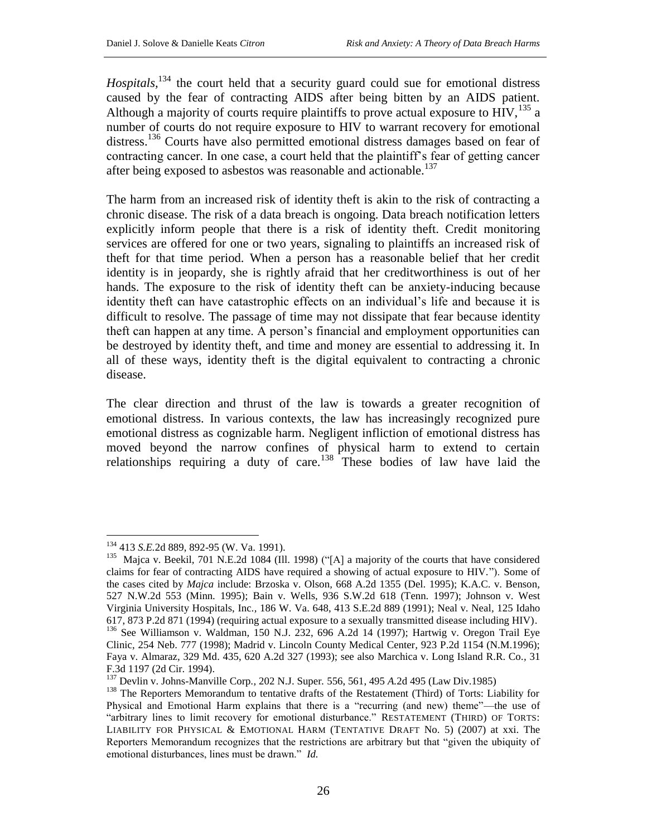*Hospitals*,<sup>134</sup> the court held that a security guard could sue for emotional distress caused by the fear of contracting AIDS after being bitten by an AIDS patient. Although a majority of courts require plaintiffs to prove actual exposure to  $HIV$ ,<sup>135</sup> a number of courts do not require exposure to HIV to warrant recovery for emotional distress.<sup>136</sup> Courts have also permitted emotional distress damages based on fear of contracting cancer. In one case, a court held that the plaintiff's fear of getting cancer after being exposed to asbestos was reasonable and actionable.<sup>137</sup>

The harm from an increased risk of identity theft is akin to the risk of contracting a chronic disease. The risk of a data breach is ongoing. Data breach notification letters explicitly inform people that there is a risk of identity theft. Credit monitoring services are offered for one or two years, signaling to plaintiffs an increased risk of theft for that time period. When a person has a reasonable belief that her credit identity is in jeopardy, she is rightly afraid that her creditworthiness is out of her hands. The exposure to the risk of identity theft can be anxiety-inducing because identity theft can have catastrophic effects on an individual's life and because it is difficult to resolve. The passage of time may not dissipate that fear because identity theft can happen at any time. A person's financial and employment opportunities can be destroyed by identity theft, and time and money are essential to addressing it. In all of these ways, identity theft is the digital equivalent to contracting a chronic disease.

The clear direction and thrust of the law is towards a greater recognition of emotional distress. In various contexts, the law has increasingly recognized pure emotional distress as cognizable harm. Negligent infliction of emotional distress has moved beyond the narrow confines of physical harm to extend to certain relationships requiring a duty of care.<sup>138</sup> These bodies of law have laid the

 $\overline{a}$ <sup>134</sup> 413 *S.E.*2d 889, 892-95 (W. Va. 1991).

<sup>&</sup>lt;sup>135</sup> Majca v. Beekil, 701 N.E.2d 1084 (Ill. 1998) ("[A] a majority of the courts that have considered claims for fear of contracting AIDS have required a showing of actual exposure to HIV."). Some of the cases cited by *Majca* include: Brzoska v. Olson*,* 668 A.2d 1355 (Del. 1995); K.A.C. v. Benson*,* 527 N.W.2d 553 (Minn. 1995); Bain v. Wells*,* 936 S.W.2d 618 (Tenn. 1997); Johnson v. West Virginia University Hospitals, Inc*.,* 186 W. Va. 648, 413 S.E.2d 889 (1991); Neal v. Neal*,* 125 Idaho 617, 873 P.2d 871 (1994) (requiring actual exposure to a sexually transmitted disease including HIV).

<sup>136</sup> See Williamson v. Waldman*,* 150 N.J. 232, 696 A.2d 14 (1997); Hartwig v. Oregon Trail Eye Clinic*,* 254 Neb. 777 (1998); Madrid v. Lincoln County Medical Center*,* 923 P.2d 1154 (N.M.1996); Faya v. Almaraz*,* 329 Md. 435, 620 A.2d 327 (1993); see also Marchica v. Long Island R.R. Co*.,* 31 F.3d 1197 (2d Cir. 1994).

<sup>137</sup> Devlin v. Johns-Manville Corp*.,* 202 N.J. Super*.* 556, 561, 495 *A.*2d 495 (Law Div.1985)

<sup>&</sup>lt;sup>138</sup> The Reporters Memorandum to tentative drafts of the Restatement (Third) of Torts: Liability for Physical and Emotional Harm explains that there is a "recurring (and new) theme"—the use of "arbitrary lines to limit recovery for emotional disturbance." RESTATEMENT (THIRD) OF TORTS: LIABILITY FOR PHYSICAL & EMOTIONAL HARM (TENTATIVE DRAFT No. 5) (2007) at xxi. The Reporters Memorandum recognizes that the restrictions are arbitrary but that "given the ubiquity of emotional disturbances, lines must be drawn." *Id.*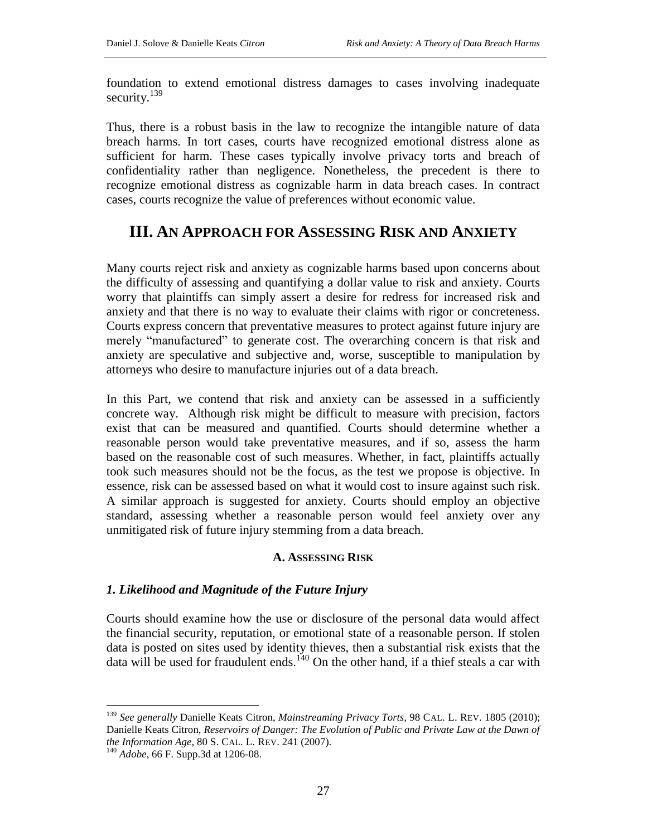foundation to extend emotional distress damages to cases involving inadequate security. $139$ 

Thus, there is a robust basis in the law to recognize the intangible nature of data breach harms. In tort cases, courts have recognized emotional distress alone as sufficient for harm. These cases typically involve privacy torts and breach of confidentiality rather than negligence. Nonetheless, the precedent is there to recognize emotional distress as cognizable harm in data breach cases. In contract cases, courts recognize the value of preferences without economic value.

# <span id="page-30-0"></span>**III. AN APPROACH FOR ASSESSING RISK AND ANXIETY**

Many courts reject risk and anxiety as cognizable harms based upon concerns about the difficulty of assessing and quantifying a dollar value to risk and anxiety. Courts worry that plaintiffs can simply assert a desire for redress for increased risk and anxiety and that there is no way to evaluate their claims with rigor or concreteness. Courts express concern that preventative measures to protect against future injury are merely "manufactured" to generate cost. The overarching concern is that risk and anxiety are speculative and subjective and, worse, susceptible to manipulation by attorneys who desire to manufacture injuries out of a data breach.

In this Part, we contend that risk and anxiety can be assessed in a sufficiently concrete way. Although risk might be difficult to measure with precision, factors exist that can be measured and quantified. Courts should determine whether a reasonable person would take preventative measures, and if so, assess the harm based on the reasonable cost of such measures. Whether, in fact, plaintiffs actually took such measures should not be the focus, as the test we propose is objective. In essence, risk can be assessed based on what it would cost to insure against such risk. A similar approach is suggested for anxiety. Courts should employ an objective standard, assessing whether a reasonable person would feel anxiety over any unmitigated risk of future injury stemming from a data breach.

#### **A. ASSESSING RISK**

#### <span id="page-30-2"></span><span id="page-30-1"></span>*1. Likelihood and Magnitude of the Future Injury*

Courts should examine how the use or disclosure of the personal data would affect the financial security, reputation, or emotional state of a reasonable person. If stolen data is posted on sites used by identity thieves, then a substantial risk exists that the data will be used for fraudulent ends.<sup>140</sup> On the other hand, if a thief steals a car with

<sup>139</sup> *See generally* Danielle Keats Citron, *Mainstreaming Privacy Torts*, 98 CAL. L. REV. 1805 (2010); Danielle Keats Citron, *Reservoirs of Danger: The Evolution of Public and Private Law at the Dawn of the Information Age*, 80 S. CAL. L. REV. 241 (2007).

<sup>140</sup> *Adobe*, 66 F. Supp.3d at 1206-08.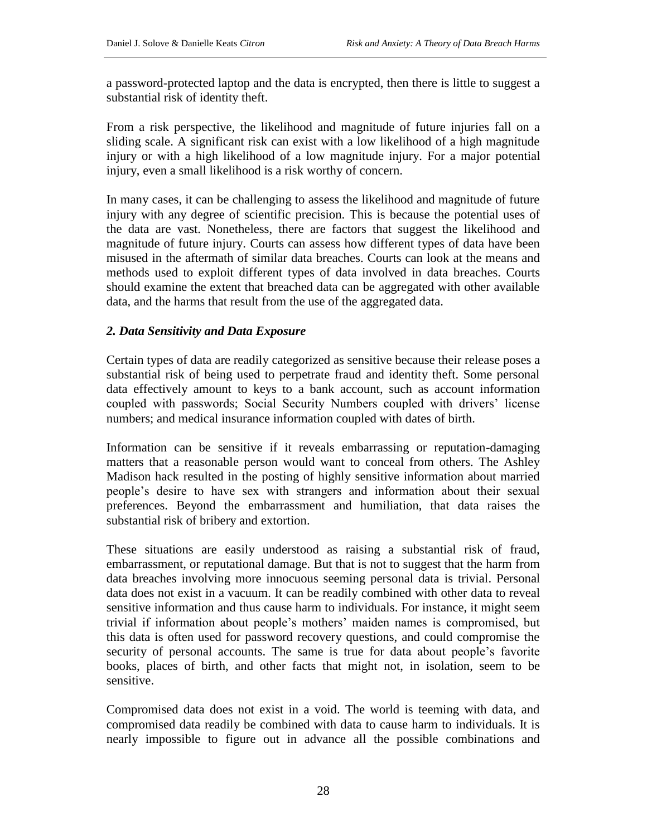a password-protected laptop and the data is encrypted, then there is little to suggest a substantial risk of identity theft.

From a risk perspective, the likelihood and magnitude of future injuries fall on a sliding scale. A significant risk can exist with a low likelihood of a high magnitude injury or with a high likelihood of a low magnitude injury. For a major potential injury, even a small likelihood is a risk worthy of concern.

In many cases, it can be challenging to assess the likelihood and magnitude of future injury with any degree of scientific precision. This is because the potential uses of the data are vast. Nonetheless, there are factors that suggest the likelihood and magnitude of future injury. Courts can assess how different types of data have been misused in the aftermath of similar data breaches. Courts can look at the means and methods used to exploit different types of data involved in data breaches. Courts should examine the extent that breached data can be aggregated with other available data, and the harms that result from the use of the aggregated data.

#### <span id="page-31-0"></span>*2. Data Sensitivity and Data Exposure*

Certain types of data are readily categorized as sensitive because their release poses a substantial risk of being used to perpetrate fraud and identity theft. Some personal data effectively amount to keys to a bank account, such as account information coupled with passwords; Social Security Numbers coupled with drivers' license numbers; and medical insurance information coupled with dates of birth.

Information can be sensitive if it reveals embarrassing or reputation-damaging matters that a reasonable person would want to conceal from others. The Ashley Madison hack resulted in the posting of highly sensitive information about married people's desire to have sex with strangers and information about their sexual preferences. Beyond the embarrassment and humiliation, that data raises the substantial risk of bribery and extortion.

These situations are easily understood as raising a substantial risk of fraud, embarrassment, or reputational damage. But that is not to suggest that the harm from data breaches involving more innocuous seeming personal data is trivial. Personal data does not exist in a vacuum. It can be readily combined with other data to reveal sensitive information and thus cause harm to individuals. For instance, it might seem trivial if information about people's mothers' maiden names is compromised, but this data is often used for password recovery questions, and could compromise the security of personal accounts. The same is true for data about people's favorite books, places of birth, and other facts that might not, in isolation, seem to be sensitive.

Compromised data does not exist in a void. The world is teeming with data, and compromised data readily be combined with data to cause harm to individuals. It is nearly impossible to figure out in advance all the possible combinations and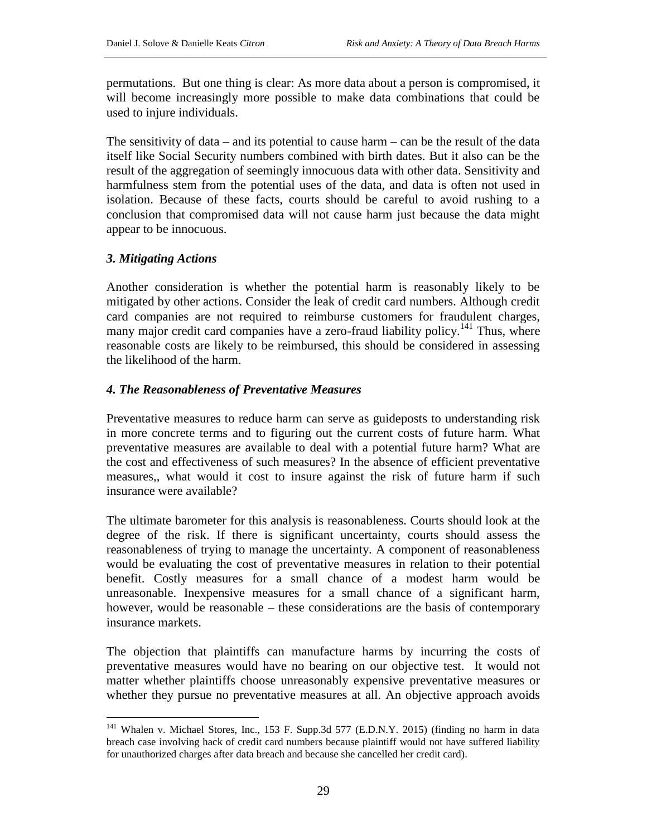permutations. But one thing is clear: As more data about a person is compromised, it will become increasingly more possible to make data combinations that could be used to injure individuals.

The sensitivity of data – and its potential to cause harm – can be the result of the data itself like Social Security numbers combined with birth dates. But it also can be the result of the aggregation of seemingly innocuous data with other data. Sensitivity and harmfulness stem from the potential uses of the data, and data is often not used in isolation. Because of these facts, courts should be careful to avoid rushing to a conclusion that compromised data will not cause harm just because the data might appear to be innocuous.

#### <span id="page-32-0"></span>*3. Mitigating Actions*

 $\overline{a}$ 

Another consideration is whether the potential harm is reasonably likely to be mitigated by other actions. Consider the leak of credit card numbers. Although credit card companies are not required to reimburse customers for fraudulent charges, many major credit card companies have a zero-fraud liability policy.<sup>141</sup> Thus, where reasonable costs are likely to be reimbursed, this should be considered in assessing the likelihood of the harm.

#### <span id="page-32-1"></span>*4. The Reasonableness of Preventative Measures*

Preventative measures to reduce harm can serve as guideposts to understanding risk in more concrete terms and to figuring out the current costs of future harm. What preventative measures are available to deal with a potential future harm? What are the cost and effectiveness of such measures? In the absence of efficient preventative measures,, what would it cost to insure against the risk of future harm if such insurance were available?

The ultimate barometer for this analysis is reasonableness. Courts should look at the degree of the risk. If there is significant uncertainty, courts should assess the reasonableness of trying to manage the uncertainty. A component of reasonableness would be evaluating the cost of preventative measures in relation to their potential benefit. Costly measures for a small chance of a modest harm would be unreasonable. Inexpensive measures for a small chance of a significant harm, however, would be reasonable – these considerations are the basis of contemporary insurance markets.

The objection that plaintiffs can manufacture harms by incurring the costs of preventative measures would have no bearing on our objective test. It would not matter whether plaintiffs choose unreasonably expensive preventative measures or whether they pursue no preventative measures at all. An objective approach avoids

<sup>&</sup>lt;sup>141</sup> Whalen v. Michael Stores, Inc., 153 F. Supp.3d 577 (E.D.N.Y. 2015) (finding no harm in data breach case involving hack of credit card numbers because plaintiff would not have suffered liability for unauthorized charges after data breach and because she cancelled her credit card).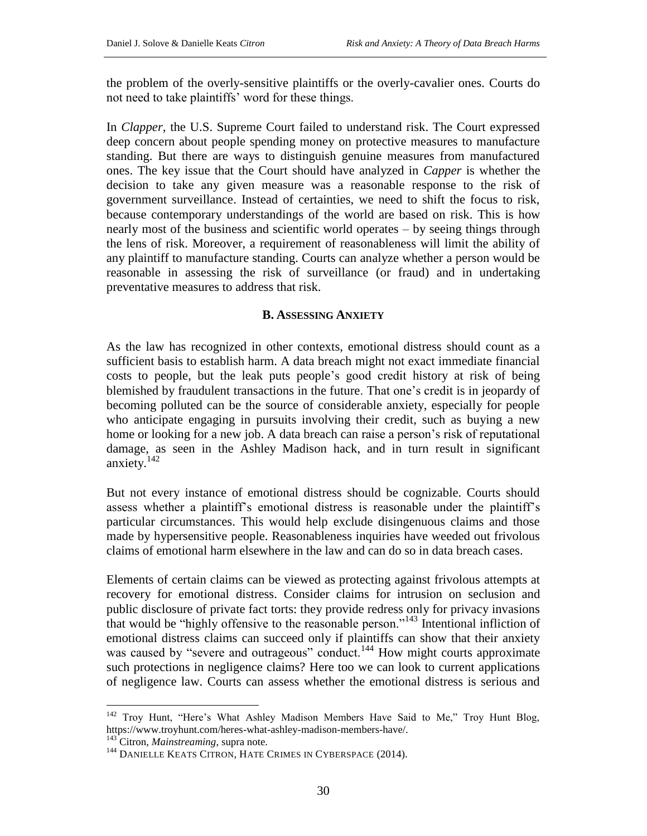the problem of the overly-sensitive plaintiffs or the overly-cavalier ones. Courts do not need to take plaintiffs' word for these things.

In *Clapper,* the U.S. Supreme Court failed to understand risk. The Court expressed deep concern about people spending money on protective measures to manufacture standing. But there are ways to distinguish genuine measures from manufactured ones. The key issue that the Court should have analyzed in *Capper* is whether the decision to take any given measure was a reasonable response to the risk of government surveillance. Instead of certainties, we need to shift the focus to risk, because contemporary understandings of the world are based on risk. This is how nearly most of the business and scientific world operates – by seeing things through the lens of risk. Moreover, a requirement of reasonableness will limit the ability of any plaintiff to manufacture standing. Courts can analyze whether a person would be reasonable in assessing the risk of surveillance (or fraud) and in undertaking preventative measures to address that risk.

#### **B. ASSESSING ANXIETY**

<span id="page-33-0"></span>As the law has recognized in other contexts, emotional distress should count as a sufficient basis to establish harm. A data breach might not exact immediate financial costs to people, but the leak puts people's good credit history at risk of being blemished by fraudulent transactions in the future. That one's credit is in jeopardy of becoming polluted can be the source of considerable anxiety, especially for people who anticipate engaging in pursuits involving their credit, such as buying a new home or looking for a new job. A data breach can raise a person's risk of reputational damage, as seen in the Ashley Madison hack, and in turn result in significant anxiety.<sup>142</sup>

But not every instance of emotional distress should be cognizable. Courts should assess whether a plaintiff's emotional distress is reasonable under the plaintiff's particular circumstances. This would help exclude disingenuous claims and those made by hypersensitive people. Reasonableness inquiries have weeded out frivolous claims of emotional harm elsewhere in the law and can do so in data breach cases.

Elements of certain claims can be viewed as protecting against frivolous attempts at recovery for emotional distress. Consider claims for intrusion on seclusion and public disclosure of private fact torts: they provide redress only for privacy invasions that would be "highly offensive to the reasonable person."<sup>143</sup> Intentional infliction of emotional distress claims can succeed only if plaintiffs can show that their anxiety was caused by "severe and outrageous" conduct.<sup>144</sup> How might courts approximate such protections in negligence claims? Here too we can look to current applications of negligence law. Courts can assess whether the emotional distress is serious and

<sup>&</sup>lt;sup>142</sup> Troy Hunt, "Here's What Ashley Madison Members Have Said to Me," Troy Hunt Blog, https://www.troyhunt.com/heres-what-ashley-madison-members-have/.

<sup>&</sup>lt;sup>143</sup> Citron, *Mainstreaming*, supra note.

<sup>&</sup>lt;sup>144</sup> DANIELLE KEATS CITRON, HATE CRIMES IN CYBERSPACE (2014).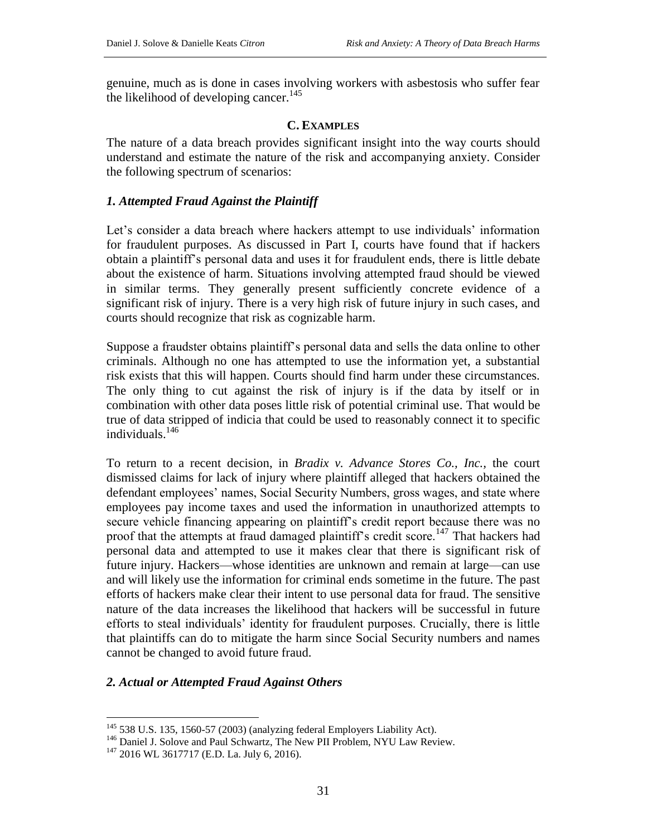<span id="page-34-0"></span>genuine, much as is done in cases involving workers with asbestosis who suffer fear the likelihood of developing cancer.<sup>145</sup>

#### **C. EXAMPLES**

The nature of a data breach provides significant insight into the way courts should understand and estimate the nature of the risk and accompanying anxiety. Consider the following spectrum of scenarios:

#### <span id="page-34-1"></span>*1. Attempted Fraud Against the Plaintiff*

Let's consider a data breach where hackers attempt to use individuals' information for fraudulent purposes. As discussed in Part I, courts have found that if hackers obtain a plaintiff's personal data and uses it for fraudulent ends, there is little debate about the existence of harm. Situations involving attempted fraud should be viewed in similar terms. They generally present sufficiently concrete evidence of a significant risk of injury. There is a very high risk of future injury in such cases, and courts should recognize that risk as cognizable harm.

Suppose a fraudster obtains plaintiff's personal data and sells the data online to other criminals. Although no one has attempted to use the information yet, a substantial risk exists that this will happen. Courts should find harm under these circumstances. The only thing to cut against the risk of injury is if the data by itself or in combination with other data poses little risk of potential criminal use. That would be true of data stripped of indicia that could be used to reasonably connect it to specific individuals. 146

To return to a recent decision, in *Bradix v. Advance Stores Co., Inc.,* the court dismissed claims for lack of injury where plaintiff alleged that hackers obtained the defendant employees' names, Social Security Numbers, gross wages, and state where employees pay income taxes and used the information in unauthorized attempts to secure vehicle financing appearing on plaintiff's credit report because there was no proof that the attempts at fraud damaged plaintiff's credit score.<sup>147</sup> That hackers had personal data and attempted to use it makes clear that there is significant risk of future injury. Hackers—whose identities are unknown and remain at large—can use and will likely use the information for criminal ends sometime in the future. The past efforts of hackers make clear their intent to use personal data for fraud. The sensitive nature of the data increases the likelihood that hackers will be successful in future efforts to steal individuals' identity for fraudulent purposes. Crucially, there is little that plaintiffs can do to mitigate the harm since Social Security numbers and names cannot be changed to avoid future fraud.

#### <span id="page-34-2"></span>*2. Actual or Attempted Fraud Against Others*

<sup>&</sup>lt;sup>145</sup> 538 U.S. 135, 1560-57 (2003) (analyzing federal Employers Liability Act).

<sup>&</sup>lt;sup>146</sup> Daniel J. Solove and Paul Schwartz, The New PII Problem, NYU Law Review.

 $147$  2016 WL 3617717 (E.D. La. July 6, 2016).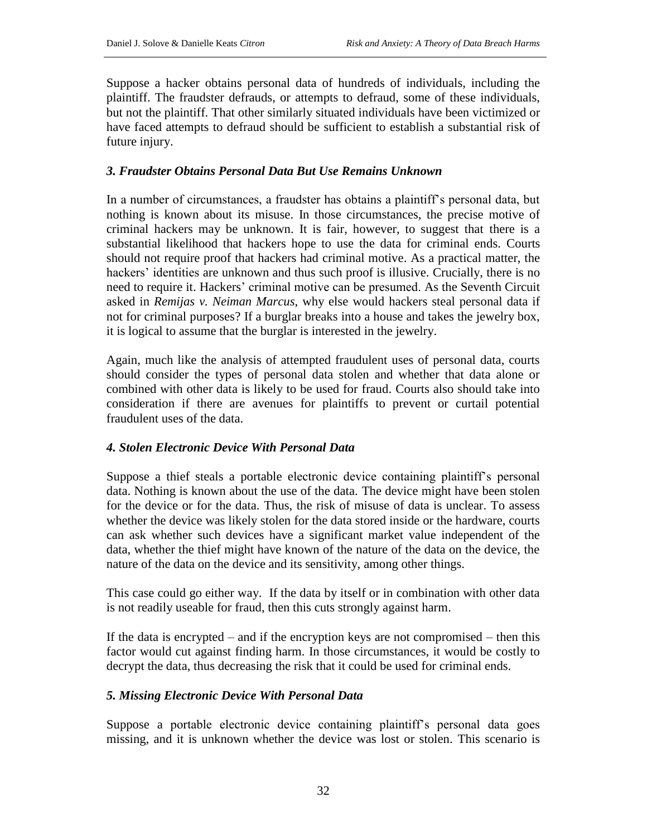Suppose a hacker obtains personal data of hundreds of individuals, including the plaintiff. The fraudster defrauds, or attempts to defraud, some of these individuals, but not the plaintiff. That other similarly situated individuals have been victimized or have faced attempts to defraud should be sufficient to establish a substantial risk of future injury.

#### <span id="page-35-0"></span>*3. Fraudster Obtains Personal Data But Use Remains Unknown*

In a number of circumstances, a fraudster has obtains a plaintiff's personal data, but nothing is known about its misuse. In those circumstances, the precise motive of criminal hackers may be unknown. It is fair, however, to suggest that there is a substantial likelihood that hackers hope to use the data for criminal ends. Courts should not require proof that hackers had criminal motive. As a practical matter, the hackers' identities are unknown and thus such proof is illusive. Crucially, there is no need to require it. Hackers' criminal motive can be presumed. As the Seventh Circuit asked in *Remijas v. Neiman Marcus*, why else would hackers steal personal data if not for criminal purposes? If a burglar breaks into a house and takes the jewelry box, it is logical to assume that the burglar is interested in the jewelry.

Again, much like the analysis of attempted fraudulent uses of personal data, courts should consider the types of personal data stolen and whether that data alone or combined with other data is likely to be used for fraud. Courts also should take into consideration if there are avenues for plaintiffs to prevent or curtail potential fraudulent uses of the data.

#### <span id="page-35-1"></span>*4. Stolen Electronic Device With Personal Data*

Suppose a thief steals a portable electronic device containing plaintiff's personal data. Nothing is known about the use of the data. The device might have been stolen for the device or for the data. Thus, the risk of misuse of data is unclear. To assess whether the device was likely stolen for the data stored inside or the hardware, courts can ask whether such devices have a significant market value independent of the data, whether the thief might have known of the nature of the data on the device, the nature of the data on the device and its sensitivity, among other things.

This case could go either way. If the data by itself or in combination with other data is not readily useable for fraud, then this cuts strongly against harm.

If the data is encrypted – and if the encryption keys are not compromised – then this factor would cut against finding harm. In those circumstances, it would be costly to decrypt the data, thus decreasing the risk that it could be used for criminal ends.

#### <span id="page-35-2"></span>*5. Missing Electronic Device With Personal Data*

Suppose a portable electronic device containing plaintiff's personal data goes missing, and it is unknown whether the device was lost or stolen. This scenario is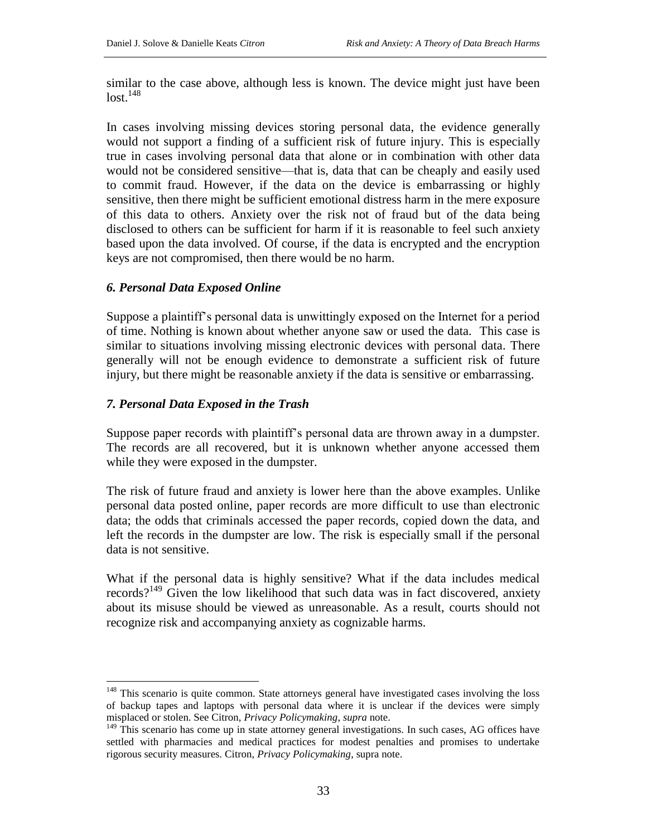similar to the case above, although less is known. The device might just have been  $lost.<sup>148</sup>$ 

In cases involving missing devices storing personal data, the evidence generally would not support a finding of a sufficient risk of future injury. This is especially true in cases involving personal data that alone or in combination with other data would not be considered sensitive—that is, data that can be cheaply and easily used to commit fraud. However, if the data on the device is embarrassing or highly sensitive, then there might be sufficient emotional distress harm in the mere exposure of this data to others. Anxiety over the risk not of fraud but of the data being disclosed to others can be sufficient for harm if it is reasonable to feel such anxiety based upon the data involved. Of course, if the data is encrypted and the encryption keys are not compromised, then there would be no harm.

#### <span id="page-36-0"></span>*6. Personal Data Exposed Online*

Suppose a plaintiff's personal data is unwittingly exposed on the Internet for a period of time. Nothing is known about whether anyone saw or used the data. This case is similar to situations involving missing electronic devices with personal data. There generally will not be enough evidence to demonstrate a sufficient risk of future injury, but there might be reasonable anxiety if the data is sensitive or embarrassing.

#### <span id="page-36-1"></span>*7. Personal Data Exposed in the Trash*

 $\overline{a}$ 

Suppose paper records with plaintiff's personal data are thrown away in a dumpster. The records are all recovered, but it is unknown whether anyone accessed them while they were exposed in the dumpster.

The risk of future fraud and anxiety is lower here than the above examples. Unlike personal data posted online, paper records are more difficult to use than electronic data; the odds that criminals accessed the paper records, copied down the data, and left the records in the dumpster are low. The risk is especially small if the personal data is not sensitive.

What if the personal data is highly sensitive? What if the data includes medical records?<sup>149</sup> Given the low likelihood that such data was in fact discovered, anxiety about its misuse should be viewed as unreasonable. As a result, courts should not recognize risk and accompanying anxiety as cognizable harms.

<sup>&</sup>lt;sup>148</sup> This scenario is quite common. State attorneys general have investigated cases involving the loss of backup tapes and laptops with personal data where it is unclear if the devices were simply misplaced or stolen. See Citron, *Privacy Policymaking*, *supra* note.

 $149$  This scenario has come up in state attorney general investigations. In such cases, AG offices have settled with pharmacies and medical practices for modest penalties and promises to undertake rigorous security measures. Citron, *Privacy Policymaking*, supra note.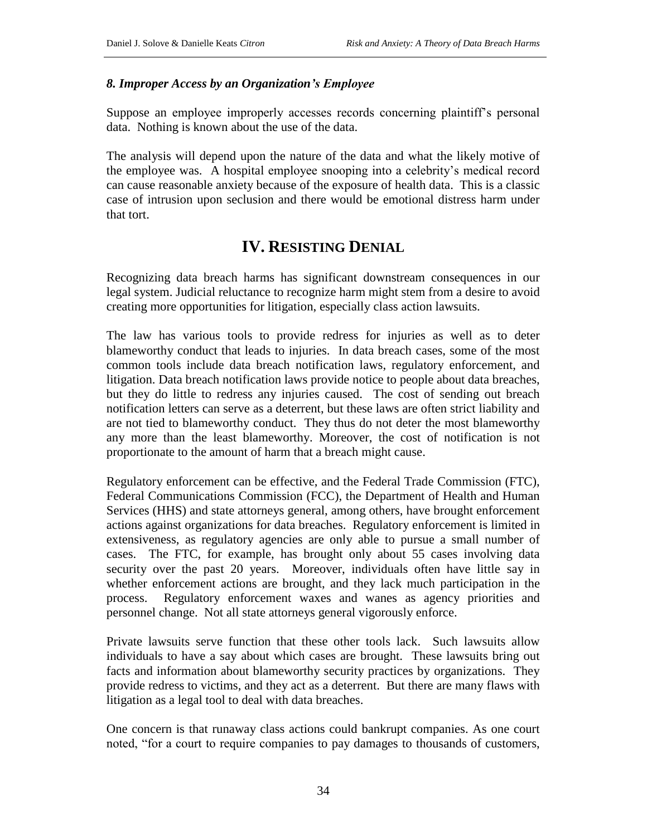#### <span id="page-37-0"></span>*8. Improper Access by an Organization's Employee*

Suppose an employee improperly accesses records concerning plaintiff's personal data. Nothing is known about the use of the data.

The analysis will depend upon the nature of the data and what the likely motive of the employee was. A hospital employee snooping into a celebrity's medical record can cause reasonable anxiety because of the exposure of health data. This is a classic case of intrusion upon seclusion and there would be emotional distress harm under that tort.

# **IV. RESISTING DENIAL**

<span id="page-37-1"></span>Recognizing data breach harms has significant downstream consequences in our legal system. Judicial reluctance to recognize harm might stem from a desire to avoid creating more opportunities for litigation, especially class action lawsuits.

The law has various tools to provide redress for injuries as well as to deter blameworthy conduct that leads to injuries. In data breach cases, some of the most common tools include data breach notification laws, regulatory enforcement, and litigation. Data breach notification laws provide notice to people about data breaches, but they do little to redress any injuries caused. The cost of sending out breach notification letters can serve as a deterrent, but these laws are often strict liability and are not tied to blameworthy conduct. They thus do not deter the most blameworthy any more than the least blameworthy. Moreover, the cost of notification is not proportionate to the amount of harm that a breach might cause.

Regulatory enforcement can be effective, and the Federal Trade Commission (FTC), Federal Communications Commission (FCC), the Department of Health and Human Services (HHS) and state attorneys general, among others, have brought enforcement actions against organizations for data breaches. Regulatory enforcement is limited in extensiveness, as regulatory agencies are only able to pursue a small number of cases. The FTC, for example, has brought only about 55 cases involving data security over the past 20 years. Moreover, individuals often have little say in whether enforcement actions are brought, and they lack much participation in the process. Regulatory enforcement waxes and wanes as agency priorities and personnel change. Not all state attorneys general vigorously enforce.

Private lawsuits serve function that these other tools lack. Such lawsuits allow individuals to have a say about which cases are brought. These lawsuits bring out facts and information about blameworthy security practices by organizations. They provide redress to victims, and they act as a deterrent. But there are many flaws with litigation as a legal tool to deal with data breaches.

One concern is that runaway class actions could bankrupt companies. As one court noted, "for a court to require companies to pay damages to thousands of customers,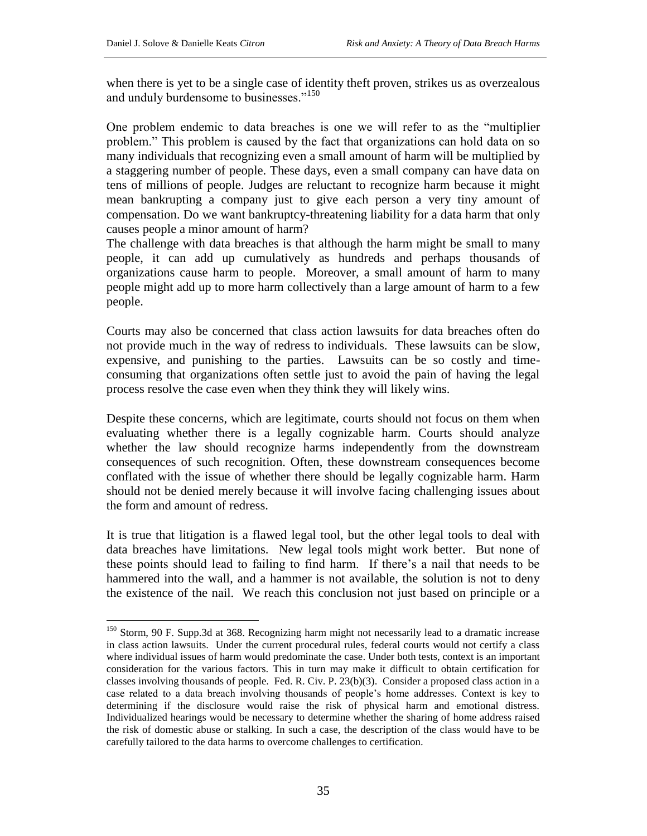$\overline{a}$ 

when there is yet to be a single case of identity theft proven, strikes us as overzealous and unduly burdensome to businesses."<sup>150</sup>

One problem endemic to data breaches is one we will refer to as the "multiplier problem." This problem is caused by the fact that organizations can hold data on so many individuals that recognizing even a small amount of harm will be multiplied by a staggering number of people. These days, even a small company can have data on tens of millions of people. Judges are reluctant to recognize harm because it might mean bankrupting a company just to give each person a very tiny amount of compensation. Do we want bankruptcy-threatening liability for a data harm that only causes people a minor amount of harm?

The challenge with data breaches is that although the harm might be small to many people, it can add up cumulatively as hundreds and perhaps thousands of organizations cause harm to people. Moreover, a small amount of harm to many people might add up to more harm collectively than a large amount of harm to a few people.

Courts may also be concerned that class action lawsuits for data breaches often do not provide much in the way of redress to individuals. These lawsuits can be slow, expensive, and punishing to the parties. Lawsuits can be so costly and timeconsuming that organizations often settle just to avoid the pain of having the legal process resolve the case even when they think they will likely wins.

Despite these concerns, which are legitimate, courts should not focus on them when evaluating whether there is a legally cognizable harm. Courts should analyze whether the law should recognize harms independently from the downstream consequences of such recognition. Often, these downstream consequences become conflated with the issue of whether there should be legally cognizable harm. Harm should not be denied merely because it will involve facing challenging issues about the form and amount of redress.

It is true that litigation is a flawed legal tool, but the other legal tools to deal with data breaches have limitations. New legal tools might work better. But none of these points should lead to failing to find harm. If there's a nail that needs to be hammered into the wall, and a hammer is not available, the solution is not to deny the existence of the nail. We reach this conclusion not just based on principle or a

<sup>&</sup>lt;sup>150</sup> Storm, 90 F. Supp.3d at 368. Recognizing harm might not necessarily lead to a dramatic increase in class action lawsuits. Under the current procedural rules, federal courts would not certify a class where individual issues of harm would predominate the case. Under both tests, context is an important consideration for the various factors. This in turn may make it difficult to obtain certification for classes involving thousands of people. Fed. R. Civ. P. 23(b)(3). Consider a proposed class action in a case related to a data breach involving thousands of people's home addresses. Context is key to determining if the disclosure would raise the risk of physical harm and emotional distress. Individualized hearings would be necessary to determine whether the sharing of home address raised the risk of domestic abuse or stalking. In such a case, the description of the class would have to be carefully tailored to the data harms to overcome challenges to certification.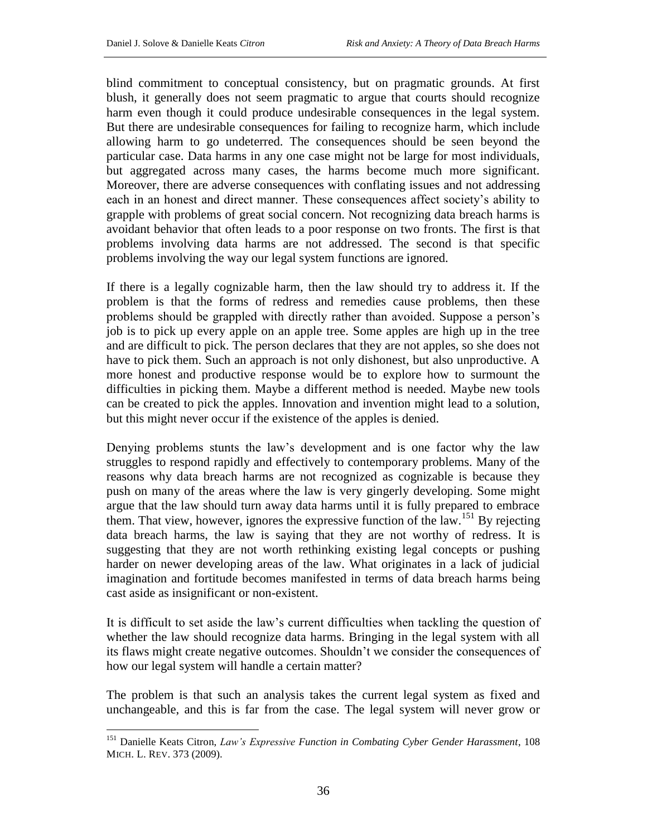$\overline{a}$ 

blind commitment to conceptual consistency, but on pragmatic grounds. At first blush, it generally does not seem pragmatic to argue that courts should recognize harm even though it could produce undesirable consequences in the legal system. But there are undesirable consequences for failing to recognize harm, which include allowing harm to go undeterred. The consequences should be seen beyond the particular case. Data harms in any one case might not be large for most individuals, but aggregated across many cases, the harms become much more significant. Moreover, there are adverse consequences with conflating issues and not addressing each in an honest and direct manner. These consequences affect society's ability to grapple with problems of great social concern. Not recognizing data breach harms is avoidant behavior that often leads to a poor response on two fronts. The first is that problems involving data harms are not addressed. The second is that specific problems involving the way our legal system functions are ignored.

If there is a legally cognizable harm, then the law should try to address it. If the problem is that the forms of redress and remedies cause problems, then these problems should be grappled with directly rather than avoided. Suppose a person's job is to pick up every apple on an apple tree. Some apples are high up in the tree and are difficult to pick. The person declares that they are not apples, so she does not have to pick them. Such an approach is not only dishonest, but also unproductive. A more honest and productive response would be to explore how to surmount the difficulties in picking them. Maybe a different method is needed. Maybe new tools can be created to pick the apples. Innovation and invention might lead to a solution, but this might never occur if the existence of the apples is denied.

Denying problems stunts the law's development and is one factor why the law struggles to respond rapidly and effectively to contemporary problems. Many of the reasons why data breach harms are not recognized as cognizable is because they push on many of the areas where the law is very gingerly developing. Some might argue that the law should turn away data harms until it is fully prepared to embrace them. That view, however, ignores the expressive function of the law.<sup>151</sup> By rejecting data breach harms, the law is saying that they are not worthy of redress. It is suggesting that they are not worth rethinking existing legal concepts or pushing harder on newer developing areas of the law. What originates in a lack of judicial imagination and fortitude becomes manifested in terms of data breach harms being cast aside as insignificant or non-existent.

It is difficult to set aside the law's current difficulties when tackling the question of whether the law should recognize data harms. Bringing in the legal system with all its flaws might create negative outcomes. Shouldn't we consider the consequences of how our legal system will handle a certain matter?

The problem is that such an analysis takes the current legal system as fixed and unchangeable, and this is far from the case. The legal system will never grow or

<sup>151</sup> Danielle Keats Citron, *Law's Expressive Function in Combating Cyber Gender Harassment*, 108 MICH. L. REV. 373 (2009).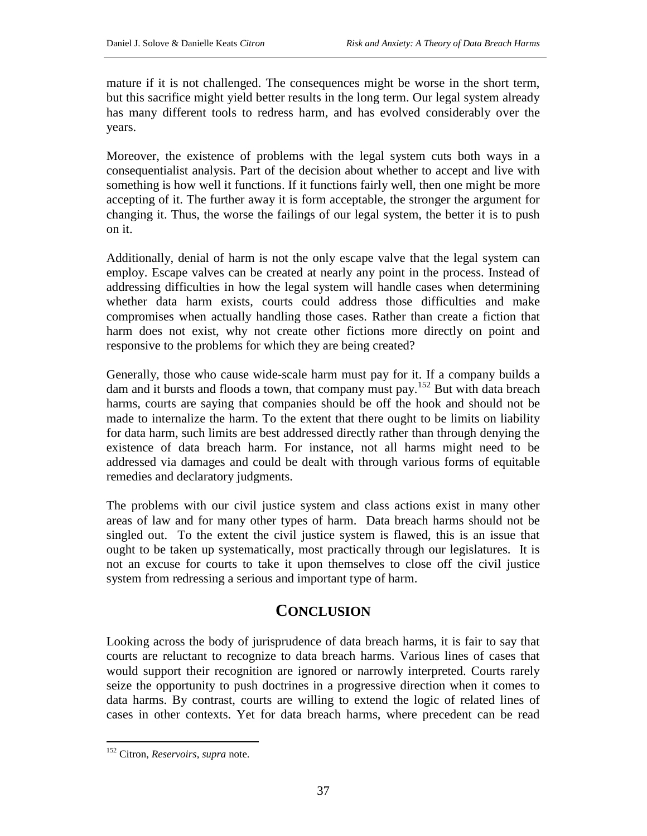mature if it is not challenged. The consequences might be worse in the short term, but this sacrifice might yield better results in the long term. Our legal system already has many different tools to redress harm, and has evolved considerably over the years.

Moreover, the existence of problems with the legal system cuts both ways in a consequentialist analysis. Part of the decision about whether to accept and live with something is how well it functions. If it functions fairly well, then one might be more accepting of it. The further away it is form acceptable, the stronger the argument for changing it. Thus, the worse the failings of our legal system, the better it is to push on it.

Additionally, denial of harm is not the only escape valve that the legal system can employ. Escape valves can be created at nearly any point in the process. Instead of addressing difficulties in how the legal system will handle cases when determining whether data harm exists, courts could address those difficulties and make compromises when actually handling those cases. Rather than create a fiction that harm does not exist, why not create other fictions more directly on point and responsive to the problems for which they are being created?

Generally, those who cause wide-scale harm must pay for it. If a company builds a dam and it bursts and floods a town, that company must pay.<sup>152</sup> But with data breach harms, courts are saying that companies should be off the hook and should not be made to internalize the harm. To the extent that there ought to be limits on liability for data harm, such limits are best addressed directly rather than through denying the existence of data breach harm. For instance, not all harms might need to be addressed via damages and could be dealt with through various forms of equitable remedies and declaratory judgments.

The problems with our civil justice system and class actions exist in many other areas of law and for many other types of harm. Data breach harms should not be singled out. To the extent the civil justice system is flawed, this is an issue that ought to be taken up systematically, most practically through our legislatures. It is not an excuse for courts to take it upon themselves to close off the civil justice system from redressing a serious and important type of harm.

### **CONCLUSION**

<span id="page-40-0"></span>Looking across the body of jurisprudence of data breach harms, it is fair to say that courts are reluctant to recognize to data breach harms. Various lines of cases that would support their recognition are ignored or narrowly interpreted. Courts rarely seize the opportunity to push doctrines in a progressive direction when it comes to data harms. By contrast, courts are willing to extend the logic of related lines of cases in other contexts. Yet for data breach harms, where precedent can be read

<sup>152</sup> Citron, *Reservoirs*, *supra* note.